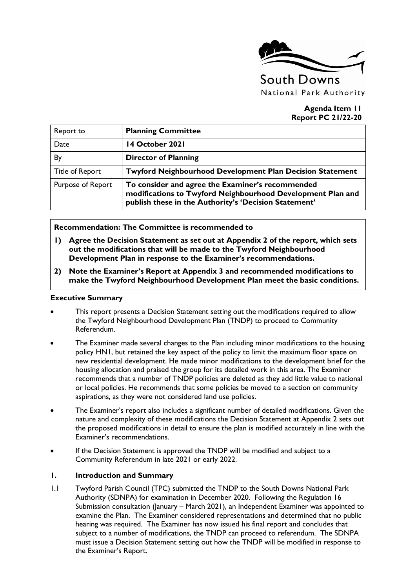

### **Agenda Item 11 Report PC 21/22-20**

| Report to              | <b>Planning Committee</b>                                                                                                                                                |
|------------------------|--------------------------------------------------------------------------------------------------------------------------------------------------------------------------|
| Date                   | 14 October 2021                                                                                                                                                          |
| By                     | <b>Director of Planning</b>                                                                                                                                              |
| <b>Title of Report</b> | <b>Twyford Neighbourhood Development Plan Decision Statement</b>                                                                                                         |
| Purpose of Report      | To consider and agree the Examiner's recommended<br>modifications to Twyford Neighbourhood Development Plan and<br>publish these in the Authority's 'Decision Statement' |

### **Recommendation: The Committee is recommended to**

- **1) Agree the Decision Statement as set out at Appendix 2 of the report, which sets out the modifications that will be made to the Twyford Neighbourhood Development Plan in response to the Examiner's recommendations.**
- **2) Note the Examiner's Report at Appendix 3 and recommended modifications to make the Twyford Neighbourhood Development Plan meet the basic conditions.**

#### **Executive Summary**

- This report presents a Decision Statement setting out the modifications required to allow the Twyford Neighbourhood Development Plan (TNDP) to proceed to Community Referendum.
- The Examiner made several changes to the Plan including minor modifications to the housing policy HN1, but retained the key aspect of the policy to limit the maximum floor space on new residential development. He made minor modifications to the development brief for the housing allocation and praised the group for its detailed work in this area. The Examiner recommends that a number of TNDP policies are deleted as they add little value to national or local policies. He recommends that some policies be moved to a section on community aspirations, as they were not considered land use policies.
- The Examiner's report also includes a significant number of detailed modifications. Given the nature and complexity of these modifications the Decision Statement at Appendix 2 sets out the proposed modifications in detail to ensure the plan is modified accurately in line with the Examiner's recommendations.
- If the Decision Statement is approved the TNDP will be modified and subject to a Community Referendum in late 2021 or early 2022.

### **1. Introduction and Summary**

1.1 Twyford Parish Council (TPC) submitted the TNDP to the South Downs National Park Authority (SDNPA) for examination in December 2020. Following the Regulation 16 Submission consultation (January – March 2021), an Independent Examiner was appointed to examine the Plan. The Examiner considered representations and determined that no public hearing was required. The Examiner has now issued his final report and concludes that subject to a number of modifications, the TNDP can proceed to referendum. The SDNPA must issue a Decision Statement setting out how the TNDP will be modified in response to the Examiner's Report.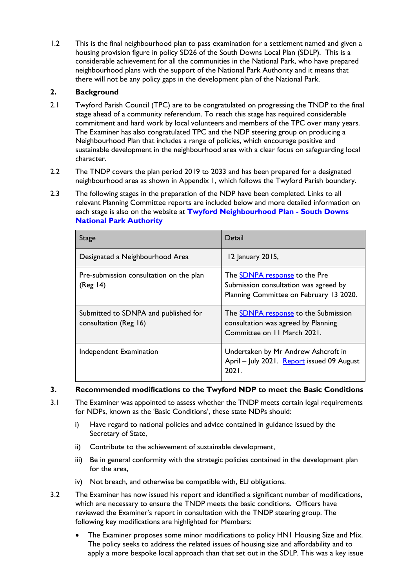1.2 This is the final neighbourhood plan to pass examination for a settlement named and given a housing provision figure in policy SD26 of the South Downs Local Plan (SDLP). This is a considerable achievement for all the communities in the National Park, who have prepared neighbourhood plans with the support of the National Park Authority and it means that there will not be any policy gaps in the development plan of the National Park.

### **2. Background**

- 2.1 Twyford Parish Council (TPC) are to be congratulated on progressing the TNDP to the final stage ahead of a community referendum. To reach this stage has required considerable commitment and hard work by local volunteers and members of the TPC over many years. The Examiner has also congratulated TPC and the NDP steering group on producing a Neighbourhood Plan that includes a range of policies, which encourage positive and sustainable development in the neighbourhood area with a clear focus on safeguarding local character.
- 2.2 The TNDP covers the plan period 2019 to 2033 and has been prepared for a designated neighbourhood area as shown in Appendix 1, which follows the Twyford Parish boundary.
- 2.3 The following stages in the preparation of the NDP have been completed. Links to all relevant Planning Committee reports are included below and more detailed information on each stage is also on the website at **[Twyford Neighbourhood Plan -](https://www.southdowns.gov.uk/planning/planning-policy/neighbourhood-planning/neighbourhood-development-plans/twyford-neighbourhood-plan/) South Downs [National Park Authority](https://www.southdowns.gov.uk/planning/planning-policy/neighbourhood-planning/neighbourhood-development-plans/twyford-neighbourhood-plan/)**

| Stage                                                         | Detail                                                                                                                   |
|---------------------------------------------------------------|--------------------------------------------------------------------------------------------------------------------------|
| Designated a Neighbourhood Area                               | 12 January 2015,                                                                                                         |
| Pre-submission consultation on the plan<br>(Reg 14)           | The <b>SDNPA</b> response to the Pre<br>Submission consultation was agreed by<br>Planning Committee on February 13 2020. |
| Submitted to SDNPA and published for<br>consultation (Reg 16) | The <b>SDNPA</b> response to the Submission<br>consultation was agreed by Planning<br>Committee on 11 March 2021.        |
| Independent Examination                                       | Undertaken by Mr Andrew Ashcroft in<br>April - July 2021. Report issued 09 August<br>2021.                               |

### **3. Recommended modifications to the Twyford NDP to meet the Basic Conditions**

- 3.1 The Examiner was appointed to assess whether the TNDP meets certain legal requirements for NDPs, known as the 'Basic Conditions', these state NDPs should:
	- i) Have regard to national policies and advice contained in guidance issued by the Secretary of State,
	- ii) Contribute to the achievement of sustainable development,
	- iii) Be in general conformity with the strategic policies contained in the development plan for the area,
	- iv) Not breach, and otherwise be compatible with, EU obligations.
- 3.2 The Examiner has now issued his report and identified a significant number of modifications, which are necessary to ensure the TNDP meets the basic conditions. Officers have reviewed the Examiner's report in consultation with the TNDP steering group. The following key modifications are highlighted for Members:
	- The Examiner proposes some minor modifications to policy HN1 Housing Size and Mix. The policy seeks to address the related issues of housing size and affordability and to apply a more bespoke local approach than that set out in the SDLP. This was a key issue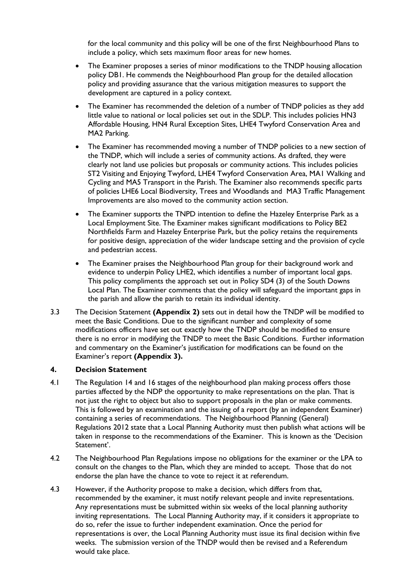for the local community and this policy will be one of the first Neighbourhood Plans to include a policy, which sets maximum floor areas for new homes.

- The Examiner proposes a series of minor modifications to the TNDP housing allocation policy DB1. He commends the Neighbourhood Plan group for the detailed allocation policy and providing assurance that the various mitigation measures to support the development are captured in a policy context.
- The Examiner has recommended the deletion of a number of TNDP policies as they add little value to national or local policies set out in the SDLP. This includes policies HN3 Affordable Housing, HN4 Rural Exception Sites, LHE4 Twyford Conservation Area and MA2 Parking.
- The Examiner has recommended moving a number of TNDP policies to a new section of the TNDP, which will include a series of community actions. As drafted, they were clearly not land use policies but proposals or community actions. This includes policies ST2 Visiting and Enjoying Twyford, LHE4 Twyford Conservation Area, MA1 Walking and Cycling and MA5 Transport in the Parish. The Examiner also recommends specific parts of policies LHE6 Local Biodiversity, Trees and Woodlands and MA3 Traffic Management Improvements are also moved to the community action section.
- The Examiner supports the TNPD intention to define the Hazeley Enterprise Park as a Local Employment Site. The Examiner makes significant modifications to Policy BE2 Northfields Farm and Hazeley Enterprise Park, but the policy retains the requirements for positive design, appreciation of the wider landscape setting and the provision of cycle and pedestrian access.
- The Examiner praises the Neighbourhood Plan group for their background work and evidence to underpin Policy LHE2, which identifies a number of important local gaps. This policy compliments the approach set out in Policy SD4 (3) of the South Downs Local Plan. The Examiner comments that the policy will safeguard the important gaps in the parish and allow the parish to retain its individual identity.
- 3.3 The Decision Statement **(Appendix 2)** sets out in detail how the TNDP will be modified to meet the Basic Conditions. Due to the significant number and complexity of some modifications officers have set out exactly how the TNDP should be modified to ensure there is no error in modifying the TNDP to meet the Basic Conditions. Further information and commentary on the Examiner's justification for modifications can be found on the Examiner's report **(Appendix 3).**

### **4. Decision Statement**

- 4.1 The Regulation 14 and 16 stages of the neighbourhood plan making process offers those parties affected by the NDP the opportunity to make representations on the plan. That is not just the right to object but also to support proposals in the plan or make comments. This is followed by an examination and the issuing of a report (by an independent Examiner) containing a series of recommendations. The Neighbourhood Planning (General) Regulations 2012 state that a Local Planning Authority must then publish what actions will be taken in response to the recommendations of the Examiner. This is known as the 'Decision Statement'.
- 4.2 The Neighbourhood Plan Regulations impose no obligations for the examiner or the LPA to consult on the changes to the Plan, which they are minded to accept. Those that do not endorse the plan have the chance to vote to reject it at referendum.
- 4.3 However, if the Authority propose to make a decision, which differs from that, recommended by the examiner, it must notify relevant people and invite representations. Any representations must be submitted within six weeks of the local planning authority inviting representations. The Local Planning Authority may, if it considers it appropriate to do so, refer the issue to further independent examination. Once the period for representations is over, the Local Planning Authority must issue its final decision within five weeks. The submission version of the TNDP would then be revised and a Referendum would take place.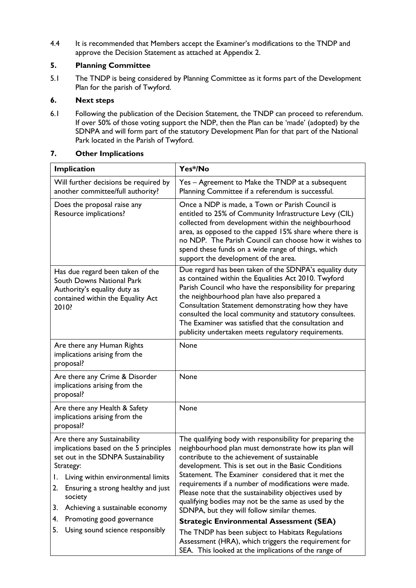4.4 It is recommended that Members accept the Examiner's modifications to the TNDP and approve the Decision Statement as attached at Appendix 2.

### **5. Planning Committee**

5.1 The TNDP is being considered by Planning Committee as it forms part of the Development Plan for the parish of Twyford.

### **6. Next steps**

6.1 Following the publication of the Decision Statement, the TNDP can proceed to referendum. If over 50% of those voting support the NDP, then the Plan can be 'made' (adopted) by the SDNPA and will form part of the statutory Development Plan for that part of the National Park located in the Parish of Twyford.

### **7. Other Implications**

| Implication                                                                                                                                                                                                                                                                                                                                        | Yes*/No                                                                                                                                                                                                                                                                                                                                                                                                                                                                                                                                                                                                                                                                                                                           |  |
|----------------------------------------------------------------------------------------------------------------------------------------------------------------------------------------------------------------------------------------------------------------------------------------------------------------------------------------------------|-----------------------------------------------------------------------------------------------------------------------------------------------------------------------------------------------------------------------------------------------------------------------------------------------------------------------------------------------------------------------------------------------------------------------------------------------------------------------------------------------------------------------------------------------------------------------------------------------------------------------------------------------------------------------------------------------------------------------------------|--|
| Will further decisions be required by<br>another committee/full authority?                                                                                                                                                                                                                                                                         | Yes - Agreement to Make the TNDP at a subsequent<br>Planning Committee if a referendum is successful.                                                                                                                                                                                                                                                                                                                                                                                                                                                                                                                                                                                                                             |  |
| Does the proposal raise any<br>Resource implications?                                                                                                                                                                                                                                                                                              | Once a NDP is made, a Town or Parish Council is<br>entitled to 25% of Community Infrastructure Levy (CIL)<br>collected from development within the neighbourhood<br>area, as opposed to the capped 15% share where there is<br>no NDP. The Parish Council can choose how it wishes to<br>spend these funds on a wide range of things, which<br>support the development of the area.                                                                                                                                                                                                                                                                                                                                               |  |
| Has due regard been taken of the<br><b>South Downs National Park</b><br>Authority's equality duty as<br>contained within the Equality Act<br>2010?                                                                                                                                                                                                 | Due regard has been taken of the SDNPA's equality duty<br>as contained within the Equalities Act 2010. Twyford<br>Parish Council who have the responsibility for preparing<br>the neighbourhood plan have also prepared a<br>Consultation Statement demonstrating how they have<br>consulted the local community and statutory consultees.<br>The Examiner was satisfied that the consultation and<br>publicity undertaken meets regulatory requirements.                                                                                                                                                                                                                                                                         |  |
| Are there any Human Rights<br>implications arising from the<br>proposal?                                                                                                                                                                                                                                                                           | None                                                                                                                                                                                                                                                                                                                                                                                                                                                                                                                                                                                                                                                                                                                              |  |
| Are there any Crime & Disorder<br>implications arising from the<br>proposal?                                                                                                                                                                                                                                                                       | None                                                                                                                                                                                                                                                                                                                                                                                                                                                                                                                                                                                                                                                                                                                              |  |
| Are there any Health & Safety<br>implications arising from the<br>proposal?                                                                                                                                                                                                                                                                        | None                                                                                                                                                                                                                                                                                                                                                                                                                                                                                                                                                                                                                                                                                                                              |  |
| Are there any Sustainability<br>implications based on the 5 principles<br>set out in the SDNPA Sustainability<br>Strategy:<br>Living within environmental limits<br>Ι.<br>Ensuring a strong healthy and just<br>2.<br>society<br>Achieving a sustainable economy<br>3.<br>Promoting good governance<br>4.<br>5.<br>Using sound science responsibly | The qualifying body with responsibility for preparing the<br>neighbourhood plan must demonstrate how its plan will<br>contribute to the achievement of sustainable<br>development. This is set out in the Basic Conditions<br>Statement. The Examiner considered that it met the<br>requirements if a number of modifications were made.<br>Please note that the sustainability objectives used by<br>qualifying bodies may not be the same as used by the<br>SDNPA, but they will follow similar themes.<br><b>Strategic Environmental Assessment (SEA)</b><br>The TNDP has been subject to Habitats Regulations<br>Assessment (HRA), which triggers the requirement for<br>SEA. This looked at the implications of the range of |  |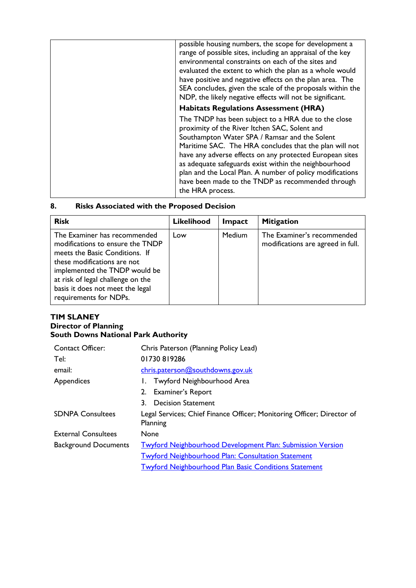| possible housing numbers, the scope for development a<br>range of possible sites, including an appraisal of the key<br>environmental constraints on each of the sites and<br>evaluated the extent to which the plan as a whole would<br>have positive and negative effects on the plan area. The<br>SEA concludes, given the scale of the proposals within the<br>NDP, the likely negative effects will not be significant.                                                |
|----------------------------------------------------------------------------------------------------------------------------------------------------------------------------------------------------------------------------------------------------------------------------------------------------------------------------------------------------------------------------------------------------------------------------------------------------------------------------|
| <b>Habitats Regulations Assessment (HRA)</b>                                                                                                                                                                                                                                                                                                                                                                                                                               |
| The TNDP has been subject to a HRA due to the close<br>proximity of the River Itchen SAC, Solent and<br>Southampton Water SPA / Ramsar and the Solent<br>Maritime SAC. The HRA concludes that the plan will not<br>have any adverse effects on any protected European sites<br>as adequate safeguards exist within the neighbourhood<br>plan and the Local Plan. A number of policy modifications<br>have been made to the TNDP as recommended through<br>the HRA process. |
|                                                                                                                                                                                                                                                                                                                                                                                                                                                                            |

### **8. Risks Associated with the Proposed Decision**

| <b>Risk</b>                                                                                                                                                                                                                                                           | <b>Likelihood</b> | Impact        | <b>Mitigation</b>                                               |
|-----------------------------------------------------------------------------------------------------------------------------------------------------------------------------------------------------------------------------------------------------------------------|-------------------|---------------|-----------------------------------------------------------------|
| The Examiner has recommended<br>modifications to ensure the TNDP<br>meets the Basic Conditions. If<br>these modifications are not<br>implemented the TNDP would be<br>at risk of legal challenge on the<br>basis it does not meet the legal<br>requirements for NDPs. | Low               | <b>Medium</b> | The Examiner's recommended<br>modifications are agreed in full. |

### **TIM SLANEY Director of Planning South Downs National Park Authority**

| <b>Contact Officer:</b>     | Chris Paterson (Planning Policy Lead)                                              |  |  |
|-----------------------------|------------------------------------------------------------------------------------|--|--|
| Tel:                        | 01730819286                                                                        |  |  |
| email:                      | chris.paterson@southdowns.gov.uk                                                   |  |  |
| Appendices                  | Twyford Neighbourhood Area                                                         |  |  |
|                             | <b>Examiner's Report</b><br>2.                                                     |  |  |
|                             | <b>Decision Statement</b>                                                          |  |  |
| <b>SDNPA Consultees</b>     | Legal Services; Chief Finance Officer; Monitoring Officer; Director of<br>Planning |  |  |
| <b>External Consultees</b>  | None                                                                               |  |  |
| <b>Background Documents</b> | <b>Twyford Neighbourhood Development Plan: Submission Version</b>                  |  |  |
|                             | <b>Twyford Neighbourhood Plan: Consultation Statement</b>                          |  |  |
|                             | <b>Twyford Neighbourhood Plan Basic Conditions Statement</b>                       |  |  |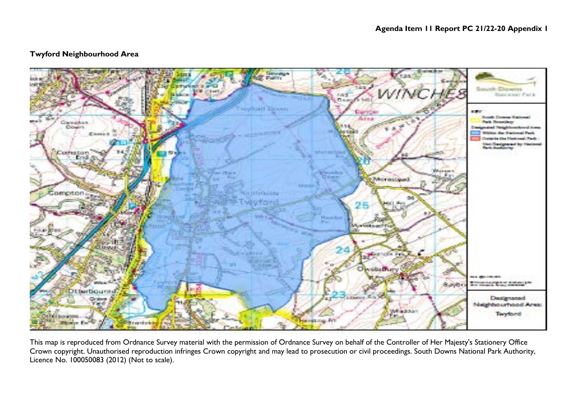### **Twyford Neighbourhood Area**



This map is reproduced from Ordnance Survey material with the permission of Ordnance Survey on behalf of the Controller of Her Majesty's Stationery Office Crown copyright. Unauthorised reproduction infringes Crown copyright and may lead to prosecution or civil proceedings. South Downs National Park Authority, Licence No. 100050083 (2012) (Not to scale).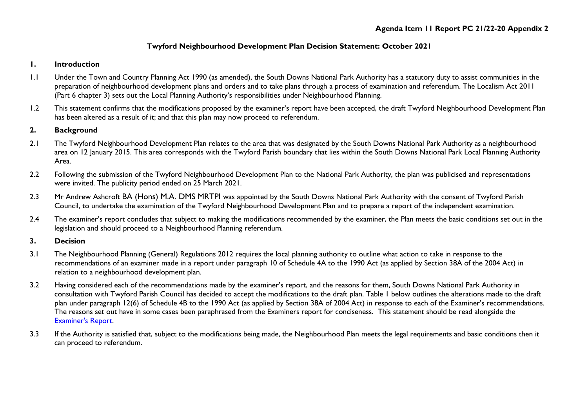### **Twyford Neighbourhood Development Plan Decision Statement: October 2021**

### **1. Introduction**

- 1.1 Under the Town and Country Planning Act 1990 (as amended), the South Downs National Park Authority has a statutory duty to assist communities in the preparation of neighbourhood development plans and orders and to take plans through a process of examination and referendum. The Localism Act 2011 (Part 6 chapter 3) sets out the Local Planning Authority's responsibilities under Neighbourhood Planning.
- 1.2 This statement confirms that the modifications proposed by the examiner's report have been accepted, the draft Twyford Neighbourhood Development Plan has been altered as a result of it; and that this plan may now proceed to referendum.

### **2. Background**

- 2.1 The Twyford Neighbourhood Development Plan relates to the area that was designated by the South Downs National Park Authority as a neighbourhood area on 12 January 2015. This area corresponds with the Twyford Parish boundary that lies within the South Downs National Park Local Planning Authority Area.
- 2.2 Following the submission of the Twyford Neighbourhood Development Plan to the National Park Authority, the plan was publicised and representations were invited. The publicity period ended on 25 March 2021.
- 2.3 Mr Andrew Ashcroft BA (Hons) M.A. DMS MRTPI was appointed by the South Downs National Park Authority with the consent of Twyford Parish Council, to undertake the examination of the Twyford Neighbourhood Development Plan and to prepare a report of the independent examination.
- 2.4 The examiner's report concludes that subject to making the modifications recommended by the examiner, the Plan meets the basic conditions set out in the legislation and should proceed to a Neighbourhood Planning referendum.

### **3. Decision**

- 3.1 The Neighbourhood Planning (General) Regulations 2012 requires the local planning authority to outline what action to take in response to the recommendations of an examiner made in a report under paragraph 10 of Schedule 4A to the 1990 Act (as applied by Section 38A of the 2004 Act) in relation to a neighbourhood development plan.
- 3.2 Having considered each of the recommendations made by the examiner's report, and the reasons for them, South Downs National Park Authority in consultation with Twyford Parish Council has decided to accept the modifications to the draft plan. Table 1 below outlines the alterations made to the draft plan under paragraph 12(6) of Schedule 4B to the 1990 Act (as applied by Section 38A of 2004 Act) in response to each of the Examiner's recommendations. The reasons set out have in some cases been paraphrased from the Examiners report for conciseness. This statement should be read alongside the [Examiner's Report.](https://www.southdowns.gov.uk/wp-content/uploads/2021/07/Twyford-Neighbourhood-Development-Plan-Final-Examiners-Report.pdf)
- 3.3 If the Authority is satisfied that, subject to the modifications being made, the Neighbourhood Plan meets the legal requirements and basic conditions then it can proceed to referendum.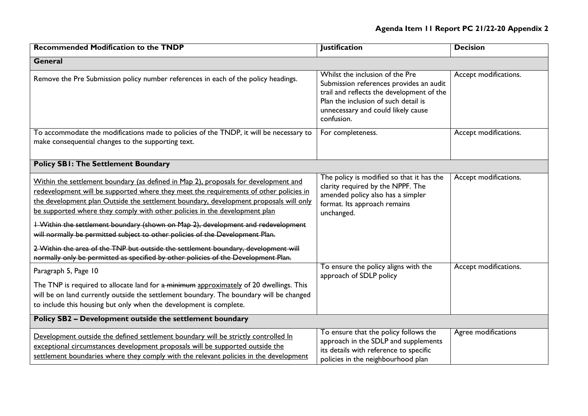## **Agenda Item 11 Report PC 21/22-20 Appendix 2**

| <b>Recommended Modification to the TNDP</b>                                                                                                                                                                                                                                                                                                                                                                                                                                                                                                                                                                                                                                                                 | <b>Justification</b>                                                                                                                                                                                                | <b>Decision</b>       |
|-------------------------------------------------------------------------------------------------------------------------------------------------------------------------------------------------------------------------------------------------------------------------------------------------------------------------------------------------------------------------------------------------------------------------------------------------------------------------------------------------------------------------------------------------------------------------------------------------------------------------------------------------------------------------------------------------------------|---------------------------------------------------------------------------------------------------------------------------------------------------------------------------------------------------------------------|-----------------------|
| General                                                                                                                                                                                                                                                                                                                                                                                                                                                                                                                                                                                                                                                                                                     |                                                                                                                                                                                                                     |                       |
| Remove the Pre Submission policy number references in each of the policy headings.                                                                                                                                                                                                                                                                                                                                                                                                                                                                                                                                                                                                                          | Whilst the inclusion of the Pre<br>Submission references provides an audit<br>trail and reflects the development of the<br>Plan the inclusion of such detail is<br>unnecessary and could likely cause<br>confusion. | Accept modifications. |
| To accommodate the modifications made to policies of the TNDP, it will be necessary to<br>make consequential changes to the supporting text.                                                                                                                                                                                                                                                                                                                                                                                                                                                                                                                                                                | For completeness.                                                                                                                                                                                                   | Accept modifications. |
| <b>Policy SBI: The Settlement Boundary</b>                                                                                                                                                                                                                                                                                                                                                                                                                                                                                                                                                                                                                                                                  |                                                                                                                                                                                                                     |                       |
| Within the settlement boundary (as defined in Map 2), proposals for development and<br>redevelopment will be supported where they meet the requirements of other policies in<br>the development plan Outside the settlement boundary, development proposals will only<br>be supported where they comply with other policies in the development plan<br><b>I</b> Within the settlement boundary (shown on Map 2), development and redevelopment<br>will normally be permitted subject to other policies of the Development Plan.<br>2 Within the area of the TNP but outside the settlement boundary, development will<br>normally only be permitted as specified by other policies of the Development Plan. | The policy is modified so that it has the<br>clarity required by the NPPF. The<br>amended policy also has a simpler<br>format. Its approach remains<br>unchanged.                                                   | Accept modifications. |
| Paragraph 5, Page 10<br>The TNP is required to allocate land for a minimum approximately of 20 dwellings. This<br>will be on land currently outside the settlement boundary. The boundary will be changed<br>to include this housing but only when the development is complete.                                                                                                                                                                                                                                                                                                                                                                                                                             | To ensure the policy aligns with the<br>approach of SDLP policy                                                                                                                                                     | Accept modifications. |
| Policy SB2 - Development outside the settlement boundary                                                                                                                                                                                                                                                                                                                                                                                                                                                                                                                                                                                                                                                    |                                                                                                                                                                                                                     |                       |
| Development outside the defined settlement boundary will be strictly controlled In<br>exceptional circumstances development proposals will be supported outside the<br>settlement boundaries where they comply with the relevant policies in the development                                                                                                                                                                                                                                                                                                                                                                                                                                                | To ensure that the policy follows the<br>approach in the SDLP and supplements<br>its details with reference to specific<br>policies in the neighbourhood plan                                                       | Agree modifications   |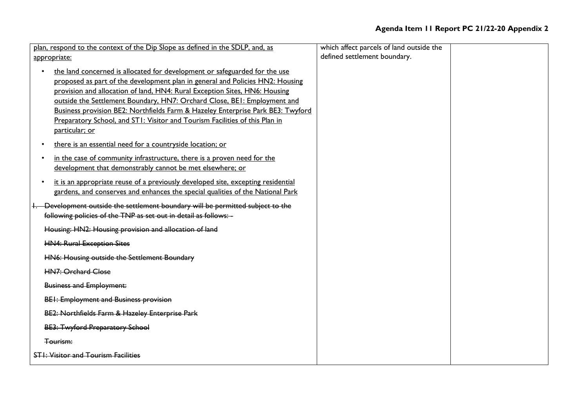| plan, respond to the context of the Dip Slope as defined in the SDLP, and, as                                                                                                                                                                                                                                                                                                                                                                                                                                          | which affect parcels of land outside the |  |
|------------------------------------------------------------------------------------------------------------------------------------------------------------------------------------------------------------------------------------------------------------------------------------------------------------------------------------------------------------------------------------------------------------------------------------------------------------------------------------------------------------------------|------------------------------------------|--|
| appropriate:                                                                                                                                                                                                                                                                                                                                                                                                                                                                                                           | defined settlement boundary.             |  |
| the land concerned is allocated for development or safeguarded for the use<br>$\bullet$<br>proposed as part of the development plan in general and Policies HN2: Housing<br>provision and allocation of land, HN4: Rural Exception Sites, HN6: Housing<br>outside the Settlement Boundary, HN7: Orchard Close, BEI: Employment and<br>Business provision BE2: Northfields Farm & Hazeley Enterprise Park BE3: Twyford<br>Preparatory School, and STI: Visitor and Tourism Facilities of this Plan in<br>particular; or |                                          |  |
| there is an essential need for a countryside location; or<br>$\bullet$<br>in the case of community infrastructure, there is a proven need for the<br>$\bullet$<br>development that demonstrably cannot be met elsewhere; or<br>it is an appropriate reuse of a previously developed site, excepting residential<br>$\bullet$<br>gardens, and conserves and enhances the special qualities of the National Park                                                                                                         |                                          |  |
| 1. Development outside the settlement boundary will be permitted subject to the<br>following policies of the TNP as set out in detail as follows: -<br>Housing: HN2: Housing provision and allocation of land<br><b>HN4: Rural Exception Sites</b><br>HN6: Housing outside the Settlement Boundary<br><b>HN7: Orchard Close</b><br><b>Business and Employment:</b><br>BEI: Employment and Business provision<br>BE2: Northfields Farm & Hazeley Enterprise Park<br><b>BE3: Twyford Preparatory School</b><br>Tourism:  |                                          |  |
| <b>STI: Visitor and Tourism Facilities</b>                                                                                                                                                                                                                                                                                                                                                                                                                                                                             |                                          |  |
|                                                                                                                                                                                                                                                                                                                                                                                                                                                                                                                        |                                          |  |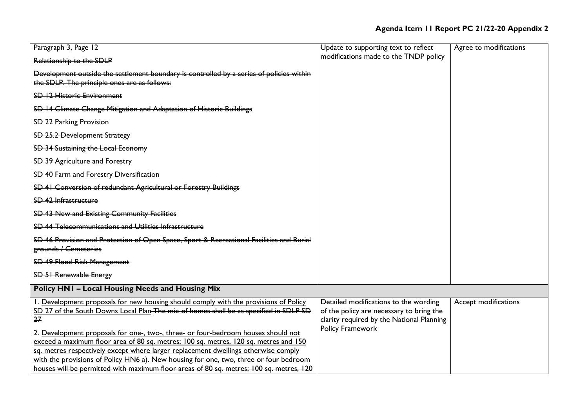| Paragraph 3, Page 12                                                                                                                                                                                                                                                                                                                                                                                                                                | Update to supporting text to reflect                                                                                           | Agree to modifications |
|-----------------------------------------------------------------------------------------------------------------------------------------------------------------------------------------------------------------------------------------------------------------------------------------------------------------------------------------------------------------------------------------------------------------------------------------------------|--------------------------------------------------------------------------------------------------------------------------------|------------------------|
| Relationship to the SDLP                                                                                                                                                                                                                                                                                                                                                                                                                            | modifications made to the TNDP policy                                                                                          |                        |
| Development outside the settlement boundary is controlled by a series of policies within<br>the SDLP. The principle ones are as follows:                                                                                                                                                                                                                                                                                                            |                                                                                                                                |                        |
| SD 12 Historic Environment                                                                                                                                                                                                                                                                                                                                                                                                                          |                                                                                                                                |                        |
| SD 14 Climate Change Mitigation and Adaptation of Historic Buildings                                                                                                                                                                                                                                                                                                                                                                                |                                                                                                                                |                        |
| <b>SD 22 Parking Provision</b>                                                                                                                                                                                                                                                                                                                                                                                                                      |                                                                                                                                |                        |
| SD 25.2 Development Strategy                                                                                                                                                                                                                                                                                                                                                                                                                        |                                                                                                                                |                        |
| SD 34 Sustaining the Local Economy                                                                                                                                                                                                                                                                                                                                                                                                                  |                                                                                                                                |                        |
| SD 39 Agriculture and Forestry                                                                                                                                                                                                                                                                                                                                                                                                                      |                                                                                                                                |                        |
| SD 40 Farm and Forestry Diversification                                                                                                                                                                                                                                                                                                                                                                                                             |                                                                                                                                |                        |
| SD 41 Conversion of redundant Agricultural or Forestry Buildings                                                                                                                                                                                                                                                                                                                                                                                    |                                                                                                                                |                        |
| SD 42 Infrastructure                                                                                                                                                                                                                                                                                                                                                                                                                                |                                                                                                                                |                        |
| SD 43 New and Existing Community Facilities                                                                                                                                                                                                                                                                                                                                                                                                         |                                                                                                                                |                        |
| SD 44 Telecommunications and Utilities Infrastructure                                                                                                                                                                                                                                                                                                                                                                                               |                                                                                                                                |                        |
| SD 46 Provision and Protection of Open Space, Sport & Recreational Facilities and Burial<br>grounds / Cemeteries                                                                                                                                                                                                                                                                                                                                    |                                                                                                                                |                        |
| <b>SD 49 Flood Risk Management</b>                                                                                                                                                                                                                                                                                                                                                                                                                  |                                                                                                                                |                        |
| <b>SD 51 Renewable Energy</b>                                                                                                                                                                                                                                                                                                                                                                                                                       |                                                                                                                                |                        |
| <b>Policy HN1 - Local Housing Needs and Housing Mix</b>                                                                                                                                                                                                                                                                                                                                                                                             |                                                                                                                                |                        |
| 1. Development proposals for new housing should comply with the provisions of Policy<br>SD 27 of the South Downs Local Plan-The-mix of homes shall be as specified in SDLP SD<br>27                                                                                                                                                                                                                                                                 | Detailed modifications to the wording<br>of the policy are necessary to bring the<br>clarity required by the National Planning | Accept modifications   |
| 2. Development proposals for one-, two-, three- or four-bedroom houses should not<br>exceed a maximum floor area of 80 sq. metres; 100 sq. metres, 120 sq. metres and 150<br>sq. metres respectively except where larger replacement dwellings otherwise comply<br>with the provisions of Policy HN6 a). New housing for one, two, three or four bedroom<br>houses will be permitted with maximum floor areas of 80 sq. metres; 100 sq. metres, 120 | Policy Framework                                                                                                               |                        |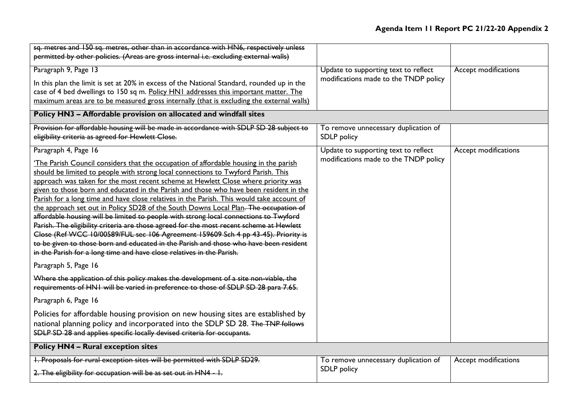| sq. metres and 150 sq. metres, other than in accordance with HN6, respectively unless                                                                                      |                                       |                      |
|----------------------------------------------------------------------------------------------------------------------------------------------------------------------------|---------------------------------------|----------------------|
| permitted by other policies. (Areas are gross internal i.e. excluding external walls)                                                                                      |                                       |                      |
| Paragraph 9, Page 13                                                                                                                                                       | Update to supporting text to reflect  | Accept modifications |
| In this plan the limit is set at 20% in excess of the National Standard, rounded up in the                                                                                 | modifications made to the TNDP policy |                      |
| case of 4 bed dwellings to 150 sq m. Policy HN1 addresses this important matter. The                                                                                       |                                       |                      |
| maximum areas are to be measured gross internally (that is excluding the external walls)                                                                                   |                                       |                      |
| Policy HN3 - Affordable provision on allocated and windfall sites                                                                                                          |                                       |                      |
| Provision for affordable housing will be made in accordance with SDLP SD 28 subject to                                                                                     | To remove unnecessary duplication of  |                      |
| eligibility criteria as agreed for Hewlett Close.                                                                                                                          | SDLP policy                           |                      |
| Paragraph 4, Page 16                                                                                                                                                       | Update to supporting text to reflect  | Accept modifications |
| 'The Parish Council considers that the occupation of affordable housing in the parish                                                                                      | modifications made to the TNDP policy |                      |
| should be limited to people with strong local connections to Twyford Parish. This                                                                                          |                                       |                      |
| approach was taken for the most recent scheme at Hewlett Close where priority was                                                                                          |                                       |                      |
| given to those born and educated in the Parish and those who have been resident in the                                                                                     |                                       |                      |
| Parish for a long time and have close relatives in the Parish. This would take account of                                                                                  |                                       |                      |
| the approach set out in Policy SD28 of the South Downs Local Plan. The occupation of                                                                                       |                                       |                      |
| affordable housing will be limited to people with strong local connections to Twyford                                                                                      |                                       |                      |
| Parish. The eligibility criteria are those agreed for the most recent scheme at Hewlett                                                                                    |                                       |                      |
| Close (Ref WCC 10/00589/FUL sec 106 Agreement 159609 Sch 4 pp 43-45). Priority is<br>to be given to those born and educated in the Parish and those who have been resident |                                       |                      |
| in the Parish for a long time and have close relatives in the Parish.                                                                                                      |                                       |                      |
| Paragraph 5, Page 16                                                                                                                                                       |                                       |                      |
| Where the application of this policy makes the development of a site non-viable, the                                                                                       |                                       |                      |
| requirements of HNI will be varied in preference to those of SDLP SD 28 para 7.65.                                                                                         |                                       |                      |
| Paragraph 6, Page 16                                                                                                                                                       |                                       |                      |
| Policies for affordable housing provision on new housing sites are established by                                                                                          |                                       |                      |
| national planning policy and incorporated into the SDLP SD 28. The TNP follows                                                                                             |                                       |                      |
| SDLP SD 28 and applies specific locally devised criteria for occupants.                                                                                                    |                                       |                      |
| <b>Policy HN4 - Rural exception sites</b>                                                                                                                                  |                                       |                      |
| 1. Proposals for rural exception sites will be permitted with SDLP SD29.                                                                                                   | To remove unnecessary duplication of  | Accept modifications |
| 2. The eligibility for occupation will be as set out in HN4 - I.                                                                                                           | SDLP policy                           |                      |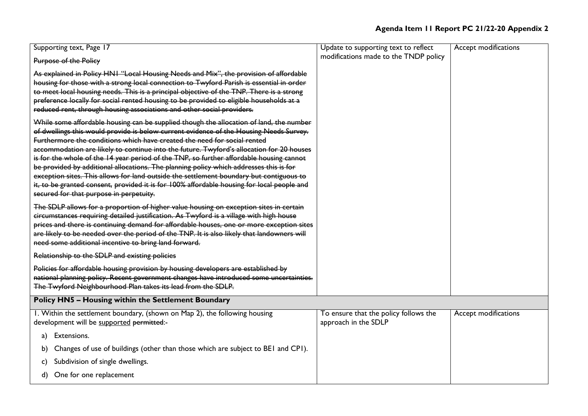| Supporting text, Page 17                                                                                                                                                                                                                                                                                                                                                                                                                                                                                                                                                                                                                                                                                                                                                           | Update to supporting text to reflect                          | Accept modifications |
|------------------------------------------------------------------------------------------------------------------------------------------------------------------------------------------------------------------------------------------------------------------------------------------------------------------------------------------------------------------------------------------------------------------------------------------------------------------------------------------------------------------------------------------------------------------------------------------------------------------------------------------------------------------------------------------------------------------------------------------------------------------------------------|---------------------------------------------------------------|----------------------|
| Purpose of the Policy                                                                                                                                                                                                                                                                                                                                                                                                                                                                                                                                                                                                                                                                                                                                                              | modifications made to the TNDP policy                         |                      |
| As explained in Policy HNI "Local Housing Needs and Mix", the provision of affordable<br>housing for those with a strong local connection to Twyford Parish is essential in order<br>to meet local housing needs. This is a principal objective of the TNP. There is a strong<br>preference locally for social rented housing to be provided to eligible households at a<br>reduced rent, through housing associations and other social providers.                                                                                                                                                                                                                                                                                                                                 |                                                               |                      |
| While some affordable housing can be supplied though the allocation of land, the number<br>of dwellings this would provide is below current evidence of the Housing Needs Survey.<br>Furthermore the conditions which have created the need for social rented<br>accommodation are likely to continue into the future. Twyford's allocation for 20 houses<br>is for the whole of the 14 year period of the TNP, so further affordable housing cannot<br>be provided by additional allocations. The planning policy which addresses this is for<br>exception sites. This allows for land outside the settlement boundary but contiguous to<br>it, to be granted consent, provided it is for 100% affordable housing for local people and<br>secured for that purpose in perpetuity. |                                                               |                      |
| The SDLP allows for a proportion of higher value housing on exception sites in certain<br>circumstances requiring detailed justification. As Twyford is a village with high house<br>prices and there is continuing demand for affordable houses, one or more exception sites<br>are likely to be needed over the period of the TNP. It is also likely that landowners will<br>need some additional incentive to bring land forward.                                                                                                                                                                                                                                                                                                                                               |                                                               |                      |
| Relationship to the SDLP and existing policies                                                                                                                                                                                                                                                                                                                                                                                                                                                                                                                                                                                                                                                                                                                                     |                                                               |                      |
| Policies for affordable housing provision by housing developers are established by<br>national planning policy. Recent government changes have introduced some uncertainties.<br>The Twyford Neighbourhood Plan takes its lead from the SDLP.                                                                                                                                                                                                                                                                                                                                                                                                                                                                                                                                      |                                                               |                      |
| <b>Policy HN5 - Housing within the Settlement Boundary</b>                                                                                                                                                                                                                                                                                                                                                                                                                                                                                                                                                                                                                                                                                                                         |                                                               |                      |
| I. Within the settlement boundary, (shown on Map 2), the following housing<br>development will be supported permitted:-                                                                                                                                                                                                                                                                                                                                                                                                                                                                                                                                                                                                                                                            | To ensure that the policy follows the<br>approach in the SDLP | Accept modifications |
| Extensions.<br>a)                                                                                                                                                                                                                                                                                                                                                                                                                                                                                                                                                                                                                                                                                                                                                                  |                                                               |                      |
| Changes of use of buildings (other than those which are subject to BEI and CPI).<br>b)                                                                                                                                                                                                                                                                                                                                                                                                                                                                                                                                                                                                                                                                                             |                                                               |                      |
| Subdivision of single dwellings.<br>C)                                                                                                                                                                                                                                                                                                                                                                                                                                                                                                                                                                                                                                                                                                                                             |                                                               |                      |
| One for one replacement<br>d)                                                                                                                                                                                                                                                                                                                                                                                                                                                                                                                                                                                                                                                                                                                                                      |                                                               |                      |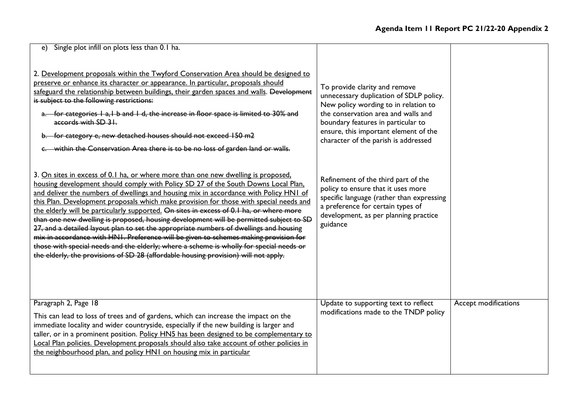| e) Single plot infill on plots less than 0.1 ha.                                                                                                                                                                                                                                                                                                                                                                                                                                                                                                                                                                                                                                                                                                                                                                                                                                                                    |                                                                                                                                                                                                                                                                                |                      |
|---------------------------------------------------------------------------------------------------------------------------------------------------------------------------------------------------------------------------------------------------------------------------------------------------------------------------------------------------------------------------------------------------------------------------------------------------------------------------------------------------------------------------------------------------------------------------------------------------------------------------------------------------------------------------------------------------------------------------------------------------------------------------------------------------------------------------------------------------------------------------------------------------------------------|--------------------------------------------------------------------------------------------------------------------------------------------------------------------------------------------------------------------------------------------------------------------------------|----------------------|
| 2. Development proposals within the Twyford Conservation Area should be designed to<br>preserve or enhance its character or appearance. In particular, proposals should<br>safeguard the relationship between buildings, their garden spaces and walls. Development<br>is subject to the following restrictions:<br>a. for categories I a, I b and I d, the increase in floor space is limited to 30% and<br>accords with SD 31.<br>b. for category e, new detached houses should not exceed 150 m2<br>e. within the Conservation Area there is to be no loss of garden land or walls.                                                                                                                                                                                                                                                                                                                              | To provide clarity and remove<br>unnecessary duplication of SDLP policy.<br>New policy wording to in relation to<br>the conservation area and walls and<br>boundary features in particular to<br>ensure, this important element of the<br>character of the parish is addressed |                      |
| 3. On sites in excess of 0.1 ha, or where more than one new dwelling is proposed,<br>housing development should comply with Policy SD 27 of the South Downs Local Plan,<br>and deliver the numbers of dwellings and housing mix in accordance with Policy HN1 of<br>this Plan. Development proposals which make provision for those with special needs and<br>the elderly will be particularly supported. On sites in excess of 0.1 ha, or where more<br>than one new dwelling is proposed, housing development will be permitted subject to SD<br>27, and a detailed layout plan to set the appropriate numbers of dwellings and housing<br>mix in accordance with HN1. Preference will be given to schemes making provision for<br>those with special needs and the elderly; where a scheme is wholly for special needs or<br>the elderly, the provisions of SD 28 (affordable housing provision) will not apply. | Refinement of the third part of the<br>policy to ensure that it uses more<br>specific language (rather than expressing<br>a preference for certain types of<br>development, as per planning practice<br>guidance                                                               |                      |
| Paragraph 2, Page 18<br>This can lead to loss of trees and of gardens, which can increase the impact on the<br>immediate locality and wider countryside, especially if the new building is larger and<br>taller, or in a prominent position. Policy HN5 has been designed to be complementary to<br>Local Plan policies. Development proposals should also take account of other policies in<br>the neighbourhood plan, and policy HN1 on housing mix in particular                                                                                                                                                                                                                                                                                                                                                                                                                                                 | Update to supporting text to reflect<br>modifications made to the TNDP policy                                                                                                                                                                                                  | Accept modifications |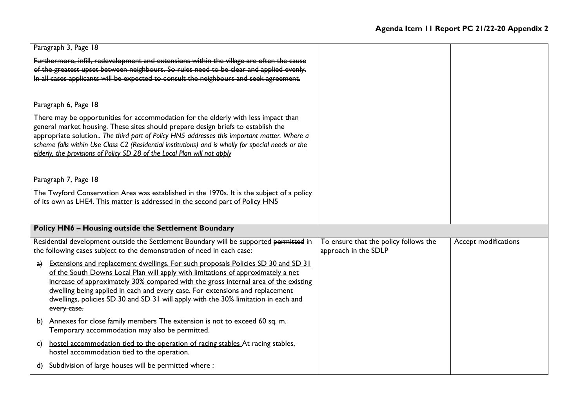|    | Paragraph 3, Page 18                                                                                                                                                                                                                                                                                                                                                                                                                                      |                                                               |                      |
|----|-----------------------------------------------------------------------------------------------------------------------------------------------------------------------------------------------------------------------------------------------------------------------------------------------------------------------------------------------------------------------------------------------------------------------------------------------------------|---------------------------------------------------------------|----------------------|
|    | Furthermore, infill, redevelopment and extensions within the village are often the cause<br>of the greatest upset between neighbours. So rules need to be clear and applied evenly.<br>In all cases applicants will be expected to consult the neighbours and seek agreement.                                                                                                                                                                             |                                                               |                      |
|    | Paragraph 6, Page 18                                                                                                                                                                                                                                                                                                                                                                                                                                      |                                                               |                      |
|    | There may be opportunities for accommodation for the elderly with less impact than<br>general market housing. These sites should prepare design briefs to establish the<br>appropriate solution The third part of Policy HN5 addresses this important matter. Where a<br>scheme falls within Use Class C2 (Residential institutions) and is wholly for special needs or the<br>elderly, the provisions of Policy SD 28 of the Local Plan will not apply   |                                                               |                      |
|    | Paragraph 7, Page 18                                                                                                                                                                                                                                                                                                                                                                                                                                      |                                                               |                      |
|    | The Twyford Conservation Area was established in the 1970s. It is the subject of a policy                                                                                                                                                                                                                                                                                                                                                                 |                                                               |                      |
|    | of its own as LHE4. This matter is addressed in the second part of Policy HN5                                                                                                                                                                                                                                                                                                                                                                             |                                                               |                      |
|    | <b>Policy HN6 - Housing outside the Settlement Boundary</b>                                                                                                                                                                                                                                                                                                                                                                                               |                                                               |                      |
|    | Residential development outside the Settlement Boundary will be supported permitted in<br>the following cases subject to the demonstration of need in each case:                                                                                                                                                                                                                                                                                          | To ensure that the policy follows the<br>approach in the SDLP | Accept modifications |
| a) | <b>Extensions and replacement dwellings. For such proposals Policies SD 30 and SD 31</b><br>of the South Downs Local Plan will apply with limitations of approximately a net<br>increase of approximately 30% compared with the gross internal area of the existing<br>dwelling being applied in each and every case. For extensions and replacement<br>dwellings, policies SD 30 and SD 31 will apply with the 30% limitation in each and<br>every case. |                                                               |                      |
|    | b) Annexes for close family members The extension is not to exceed 60 sq. m.<br>Temporary accommodation may also be permitted.                                                                                                                                                                                                                                                                                                                            |                                                               |                      |
| c) | hostel accommodation tied to the operation of racing stables. At racing stables,<br>hostel accommodation tied to the operation.                                                                                                                                                                                                                                                                                                                           |                                                               |                      |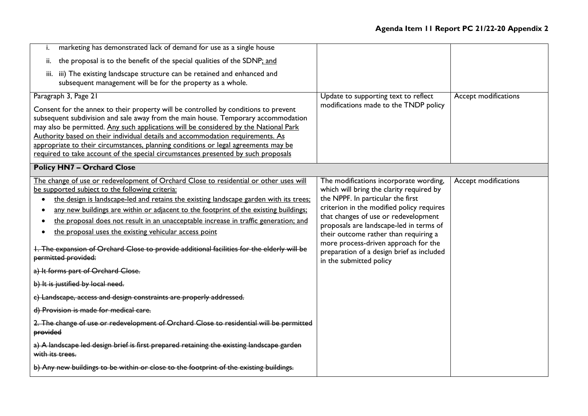| marketing has demonstrated lack of demand for use as a single house<br>i.                                                                                               |                                                                                                              |                      |
|-------------------------------------------------------------------------------------------------------------------------------------------------------------------------|--------------------------------------------------------------------------------------------------------------|----------------------|
| the proposal is to the benefit of the special qualities of the SDNP; and<br>ii.                                                                                         |                                                                                                              |                      |
| iii) The existing landscape structure can be retained and enhanced and<br>iii.<br>subsequent management will be for the property as a whole.                            |                                                                                                              |                      |
| Paragraph 3, Page 21<br>Consent for the annex to their property will be controlled by conditions to prevent                                                             | Update to supporting text to reflect<br>modifications made to the TNDP policy                                | Accept modifications |
| subsequent subdivision and sale away from the main house. Temporary accommodation                                                                                       |                                                                                                              |                      |
| may also be permitted. Any such applications will be considered by the National Park                                                                                    |                                                                                                              |                      |
| Authority based on their individual details and accommodation requirements. As                                                                                          |                                                                                                              |                      |
| appropriate to their circumstances, planning conditions or legal agreements may be<br>required to take account of the special circumstances presented by such proposals |                                                                                                              |                      |
|                                                                                                                                                                         |                                                                                                              |                      |
| <b>Policy HN7 - Orchard Close</b>                                                                                                                                       |                                                                                                              |                      |
| The change of use or redevelopment of Orchard Close to residential or other uses will                                                                                   | The modifications incorporate wording,                                                                       | Accept modifications |
| be supported subject to the following criteria:                                                                                                                         | which will bring the clarity required by                                                                     |                      |
| the design is landscape-led and retains the existing landscape garden with its trees;                                                                                   | the NPPF. In particular the first                                                                            |                      |
| any new buildings are within or adjacent to the footprint of the existing buildings;                                                                                    | criterion in the modified policy requires<br>that changes of use or redevelopment                            |                      |
| the proposal does not result in an unacceptable increase in traffic generation; and                                                                                     | proposals are landscape-led in terms of                                                                      |                      |
| the proposal uses the existing vehicular access point                                                                                                                   | their outcome rather than requiring a                                                                        |                      |
| 1. The expansion of Orchard Close to provide additional facilities for the elderly will be<br>permitted provided:                                                       | more process-driven approach for the<br>preparation of a design brief as included<br>in the submitted policy |                      |
| a) It forms part of Orchard Close.                                                                                                                                      |                                                                                                              |                      |
| b) It is justified by local need.                                                                                                                                       |                                                                                                              |                      |
| c) Landscape, access and design constraints are properly addressed.                                                                                                     |                                                                                                              |                      |
| d) Provision is made for medical care.                                                                                                                                  |                                                                                                              |                      |
| 2. The change of use or redevelopment of Orchard Close to residential will be permitted<br>provided                                                                     |                                                                                                              |                      |
| a) A landscape led design brief is first prepared retaining the existing landscape garden<br>with its trees.                                                            |                                                                                                              |                      |
| b) Any new buildings to be within or close to the footprint of the existing buildings.                                                                                  |                                                                                                              |                      |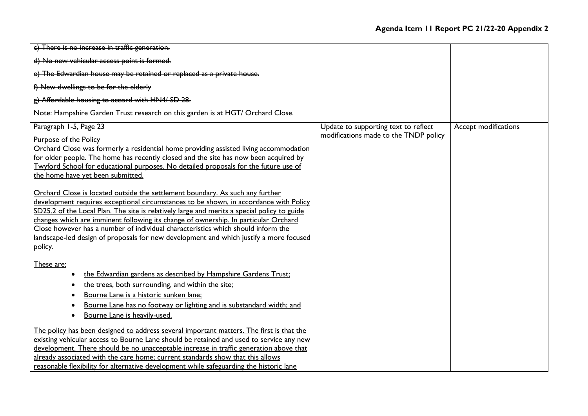| c) There is no increase in traffic generation.                                              |                                       |                      |
|---------------------------------------------------------------------------------------------|---------------------------------------|----------------------|
| d) No new vehicular access point is formed.                                                 |                                       |                      |
| e) The Edwardian house may be retained or replaced as a private house.                      |                                       |                      |
| f) New dwellings to be for the elderly                                                      |                                       |                      |
| g) Affordable housing to accord with HN4/ SD 28.                                            |                                       |                      |
| Note: Hampshire Garden Trust research on this garden is at HGT/ Orchard Close.              |                                       |                      |
| Paragraph 1-5, Page 23                                                                      | Update to supporting text to reflect  | Accept modifications |
| Purpose of the Policy                                                                       | modifications made to the TNDP policy |                      |
| Orchard Close was formerly a residential home providing assisted living accommodation       |                                       |                      |
| for older people. The home has recently closed and the site has now been acquired by        |                                       |                      |
| Twyford School for educational purposes. No detailed proposals for the future use of        |                                       |                      |
| the home have yet been submitted.                                                           |                                       |                      |
|                                                                                             |                                       |                      |
| Orchard Close is located outside the settlement boundary. As such any further               |                                       |                      |
| development requires exceptional circumstances to be shown, in accordance with Policy       |                                       |                      |
| SD25.2 of the Local Plan. The site is relatively large and merits a special policy to guide |                                       |                      |
| changes which are imminent following its change of ownership. In particular Orchard         |                                       |                      |
| Close however has a number of individual characteristics which should inform the            |                                       |                      |
| landscape-led design of proposals for new development and which justify a more focused      |                                       |                      |
| policy.                                                                                     |                                       |                      |
| These are:                                                                                  |                                       |                      |
| the Edwardian gardens as described by Hampshire Gardens Trust;                              |                                       |                      |
| the trees, both surrounding, and within the site;                                           |                                       |                      |
| Bourne Lane is a historic sunken lane;                                                      |                                       |                      |
| Bourne Lane has no footway or lighting and is substandard width; and                        |                                       |                      |
| Bourne Lane is heavily-used.                                                                |                                       |                      |
| The policy has been designed to address several important matters. The first is that the    |                                       |                      |
| existing vehicular access to Bourne Lane should be retained and used to service any new     |                                       |                      |
| development. There should be no unacceptable increase in traffic generation above that      |                                       |                      |
| already associated with the care home; current standards show that this allows              |                                       |                      |
| reasonable flexibility for alternative development while safeguarding the historic lane     |                                       |                      |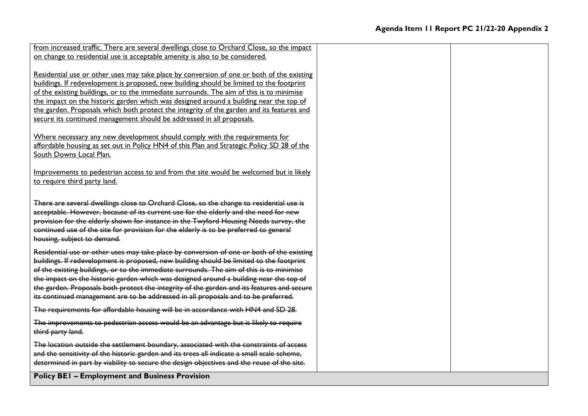| <b>Policy BEI - Employment and Business Provision</b>                                                                                                                                                                                                                                                                                                                                                                                                                                                                                                           |  |
|-----------------------------------------------------------------------------------------------------------------------------------------------------------------------------------------------------------------------------------------------------------------------------------------------------------------------------------------------------------------------------------------------------------------------------------------------------------------------------------------------------------------------------------------------------------------|--|
| The location outside the settlement boundary, associated with the constraints of access<br>and the sensitivity of the historic garden and its trees all indicate a small scale scheme,<br>determined in part by viability to secure the design objectives and the reuse of the site.                                                                                                                                                                                                                                                                            |  |
| The improvements to pedestrian access would be an advantage but is likely to require<br>third party land.                                                                                                                                                                                                                                                                                                                                                                                                                                                       |  |
| The requirements for affordable housing will be in accordance with HN4 and SD 28.                                                                                                                                                                                                                                                                                                                                                                                                                                                                               |  |
| Residential use or other uses may take place by conversion of one or both of the existing<br>buildings. If redevelopment is proposed, new building should be limited to the footprint<br>of the existing buildings, or to the immediate surrounds. The aim of this is to minimise<br>the impact on the historic garden which was designed around a building near the top of<br>the garden. Proposals both protect the integrity of the garden and its features and secure<br>its continued management are to be addressed in all proposals and to be preferred. |  |
| There are several dwellings close to Orchard Close, so the change to residential use is<br>acceptable. However, because of its current use for the elderly and the need for new<br>provision for the elderly shown for instance in the Twyford Housing Needs survey, the<br>continued use of the site for provision for the elderly is to be preferred to general<br>housing, subject to demand.                                                                                                                                                                |  |
| Improvements to pedestrian access to and from the site would be welcomed but is likely<br>to require third party land.                                                                                                                                                                                                                                                                                                                                                                                                                                          |  |
| Where necessary any new development should comply with the requirements for<br>affordable housing as set out in Policy HN4 of this Plan and Strategic Policy SD 28 of the<br>South Downs Local Plan.                                                                                                                                                                                                                                                                                                                                                            |  |
| Residential use or other uses may take place by conversion of one or both of the existing<br>buildings. If redevelopment is proposed, new building should be limited to the footprint<br>of the existing buildings, or to the immediate surrounds. The aim of this is to minimise<br>the impact on the historic garden which was designed around a building near the top of<br>the garden. Proposals which both protect the integrity of the garden and its features and<br>secure its continued management should be addressed in all proposals.               |  |
| from increased traffic. There are several dwellings close to Orchard Close, so the impact<br>on change to residential use is acceptable amenity is also to be considered.                                                                                                                                                                                                                                                                                                                                                                                       |  |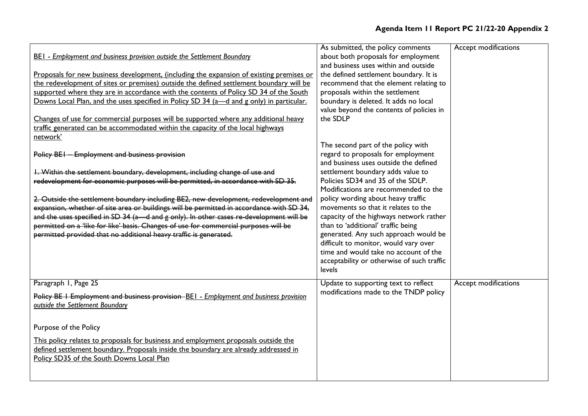| <b>BEI</b> - Employment and business provision outside the Settlement Boundary<br>Proposals for new business development, (including the expansion of existing premises or<br>the redevelopment of sites or premises) outside the defined settlement boundary will be<br>supported where they are in accordance with the contents of Policy SD 34 of the South<br>Downs Local Plan, and the uses specified in Policy SD 34 (a—d and g only) in particular.<br>Changes of use for commercial purposes will be supported where any additional heavy<br>traffic generated can be accommodated within the capacity of the local highways<br>network'                | As submitted, the policy comments<br>about both proposals for employment<br>and business uses within and outside<br>the defined settlement boundary. It is<br>recommend that the element relating to<br>proposals within the settlement<br>boundary is deleted. It adds no local<br>value beyond the contents of policies in<br>the SDLP                                                                                                                                                                                                                                             | Accept modifications |
|-----------------------------------------------------------------------------------------------------------------------------------------------------------------------------------------------------------------------------------------------------------------------------------------------------------------------------------------------------------------------------------------------------------------------------------------------------------------------------------------------------------------------------------------------------------------------------------------------------------------------------------------------------------------|--------------------------------------------------------------------------------------------------------------------------------------------------------------------------------------------------------------------------------------------------------------------------------------------------------------------------------------------------------------------------------------------------------------------------------------------------------------------------------------------------------------------------------------------------------------------------------------|----------------------|
| Policy BEI - Employment and business provision<br>1. Within the settlement boundary, development, including change of use and<br>redevelopment for economic purposes will be permitted, in accordance with SD 35.<br>2. Outside the settlement boundary including BE2, new development, redevelopment and<br>expansion, whether of site area or buildings will be permitted in accordance with SD 34,<br>and the uses specified in SD 34 (a - d and g only). In other cases re-development will be<br>permitted on a 'like for like' basis. Changes of use for commercial purposes will be<br>permitted provided that no additional heavy traffic is generated. | The second part of the policy with<br>regard to proposals for employment<br>and business uses outside the defined<br>settlement boundary adds value to<br>Policies SD34 and 35 of the SDLP.<br>Modifications are recommended to the<br>policy wording about heavy traffic<br>movements so that it relates to the<br>capacity of the highways network rather<br>than to 'additional' traffic being<br>generated. Any such approach would be<br>difficult to monitor, would vary over<br>time and would take no account of the<br>acceptability or otherwise of such traffic<br>levels |                      |
| Paragraph 1, Page 25<br>Policy BE I Employment and business provision BEI - Employment and business provision<br>outside the Settlement Boundary<br>Purpose of the Policy<br>This policy relates to proposals for business and employment proposals outside the<br>defined settlement boundary. Proposals inside the boundary are already addressed in<br>Policy SD35 of the South Downs Local Plan                                                                                                                                                                                                                                                             | Update to supporting text to reflect<br>modifications made to the TNDP policy                                                                                                                                                                                                                                                                                                                                                                                                                                                                                                        | Accept modifications |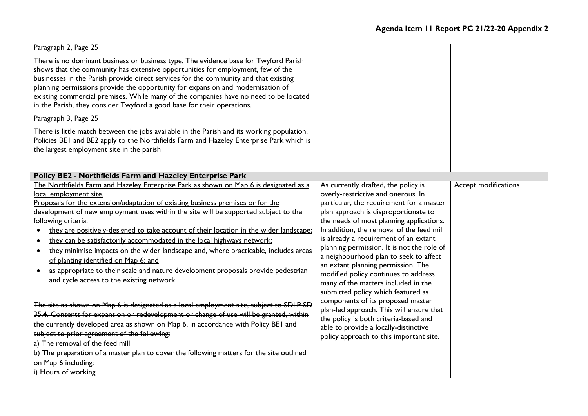| Paragraph 2, Page 25                                                                                                                                                                                                                                                                                                                                                                                                                                                                                                                                                                                                                                                                                                                                                                                                                                                                                                                                                                                                                                                                                                                                                                                                                                                     |                                                                                                                                                                                                                                                                                                                                                                                                                                                                                                                                                                                                                                                                                                                                                                  |                      |
|--------------------------------------------------------------------------------------------------------------------------------------------------------------------------------------------------------------------------------------------------------------------------------------------------------------------------------------------------------------------------------------------------------------------------------------------------------------------------------------------------------------------------------------------------------------------------------------------------------------------------------------------------------------------------------------------------------------------------------------------------------------------------------------------------------------------------------------------------------------------------------------------------------------------------------------------------------------------------------------------------------------------------------------------------------------------------------------------------------------------------------------------------------------------------------------------------------------------------------------------------------------------------|------------------------------------------------------------------------------------------------------------------------------------------------------------------------------------------------------------------------------------------------------------------------------------------------------------------------------------------------------------------------------------------------------------------------------------------------------------------------------------------------------------------------------------------------------------------------------------------------------------------------------------------------------------------------------------------------------------------------------------------------------------------|----------------------|
| There is no dominant business or business type. The evidence base for Twyford Parish<br>shows that the community has extensive opportunities for employment, few of the<br>businesses in the Parish provide direct services for the community and that existing<br>planning permissions provide the opportunity for expansion and modernisation of<br>existing commercial premises. While many of the companies have no need to be located<br>in the Parish, they consider Twyford a good base for their operations.                                                                                                                                                                                                                                                                                                                                                                                                                                                                                                                                                                                                                                                                                                                                                     |                                                                                                                                                                                                                                                                                                                                                                                                                                                                                                                                                                                                                                                                                                                                                                  |                      |
| Paragraph 3, Page 25                                                                                                                                                                                                                                                                                                                                                                                                                                                                                                                                                                                                                                                                                                                                                                                                                                                                                                                                                                                                                                                                                                                                                                                                                                                     |                                                                                                                                                                                                                                                                                                                                                                                                                                                                                                                                                                                                                                                                                                                                                                  |                      |
| There is little match between the jobs available in the Parish and its working population.<br>Policies BEI and BE2 apply to the Northfields Farm and Hazeley Enterprise Park which is<br>the largest employment site in the parish                                                                                                                                                                                                                                                                                                                                                                                                                                                                                                                                                                                                                                                                                                                                                                                                                                                                                                                                                                                                                                       |                                                                                                                                                                                                                                                                                                                                                                                                                                                                                                                                                                                                                                                                                                                                                                  |                      |
| Policy BE2 - Northfields Farm and Hazeley Enterprise Park                                                                                                                                                                                                                                                                                                                                                                                                                                                                                                                                                                                                                                                                                                                                                                                                                                                                                                                                                                                                                                                                                                                                                                                                                |                                                                                                                                                                                                                                                                                                                                                                                                                                                                                                                                                                                                                                                                                                                                                                  |                      |
| The Northfields Farm and Hazeley Enterprise Park as shown on Map 6 is designated as a<br>local employment site.<br>Proposals for the extension/adaptation of existing business premises or for the<br>development of new employment uses within the site will be supported subject to the<br>following criteria:<br>they are positively-designed to take account of their location in the wider landscape:<br>they can be satisfactorily accommodated in the local highways network;<br>they minimise impacts on the wider landscape and, where practicable, includes areas<br>$\bullet$<br>of planting identified on Map 6; and<br>as appropriate to their scale and nature development proposals provide pedestrian<br>and cycle access to the existing network<br>The site as shown on Map 6 is designated as a local employment site, subject to SDLP SD<br>35.4. Consents for expansion or redevelopment or change of use will be granted, within<br>the currently developed area as shown on Map 6, in accordance with Policy BEI and<br>subject to prior agreement of the following:<br>a) The removal of the feed mill<br>b) The preparation of a master plan to cover the following matters for the site outlined<br>on Map 6 including:<br>i) Hours of working | As currently drafted, the policy is<br>overly-restrictive and onerous. In<br>particular, the requirement for a master<br>plan approach is disproportionate to<br>the needs of most planning applications.<br>In addition, the removal of the feed mill<br>is already a requirement of an extant<br>planning permission. It is not the role of<br>a neighbourhood plan to seek to affect<br>an extant planning permission. The<br>modified policy continues to address<br>many of the matters included in the<br>submitted policy which featured as<br>components of its proposed master<br>plan-led approach. This will ensure that<br>the policy is both criteria-based and<br>able to provide a locally-distinctive<br>policy approach to this important site. | Accept modifications |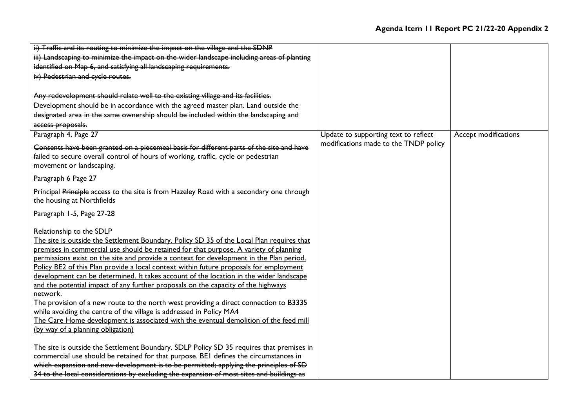| ii) Traffic and its routing to minimize the impact on the village and the SDNP             |                                       |                      |
|--------------------------------------------------------------------------------------------|---------------------------------------|----------------------|
| iii) Landscaping to minimize the impact on the wider landscape including areas of planting |                                       |                      |
| identified on Map 6, and satisfying all landscaping requirements.                          |                                       |                      |
| iv) Pedestrian and cycle routes.                                                           |                                       |                      |
|                                                                                            |                                       |                      |
| Any redevelopment should relate well to the existing village and its facilities.           |                                       |                      |
| Development should be in accordance with the agreed master plan. Land outside the          |                                       |                      |
| designated area in the same ownership should be included within the landscaping and        |                                       |                      |
| access proposals.                                                                          |                                       |                      |
| Paragraph 4, Page 27                                                                       | Update to supporting text to reflect  | Accept modifications |
| Consents have been granted on a piecemeal basis for different parts of the site and have   | modifications made to the TNDP policy |                      |
| failed to secure overall control of hours of working, traffic, cycle or pedestrian         |                                       |                      |
| movement or landscaping.                                                                   |                                       |                      |
|                                                                                            |                                       |                      |
| Paragraph 6 Page 27                                                                        |                                       |                      |
| Principal Principle access to the site is from Hazeley Road with a secondary one through   |                                       |                      |
| the housing at Northfields                                                                 |                                       |                      |
| Paragraph 1-5, Page 27-28                                                                  |                                       |                      |
| Relationship to the SDLP                                                                   |                                       |                      |
| The site is outside the Settlement Boundary. Policy SD 35 of the Local Plan requires that  |                                       |                      |
| premises in commercial use should be retained for that purpose. A variety of planning      |                                       |                      |
| permissions exist on the site and provide a context for development in the Plan period.    |                                       |                      |
| Policy BE2 of this Plan provide a local context within future proposals for employment     |                                       |                      |
| development can be determined. It takes account of the location in the wider landscape     |                                       |                      |
| and the potential impact of any further proposals on the capacity of the highways          |                                       |                      |
| network.                                                                                   |                                       |                      |
| The provision of a new route to the north west providing a direct connection to B3335      |                                       |                      |
| while avoiding the centre of the village is addressed in Policy MA4                        |                                       |                      |
| The Care Home development is associated with the eventual demolition of the feed mill      |                                       |                      |
| (by way of a planning obligation)                                                          |                                       |                      |
| The site is outside the Settlement Boundary. SDLP Policy SD 35 requires that premises in   |                                       |                      |
| commercial use should be retained for that purpose. BEI defines the circumstances in       |                                       |                      |
| which expansion and new development is to be permitted; applying the principles of SD      |                                       |                      |
| 34 to the local considerations by excluding the expansion of most sites and buildings as   |                                       |                      |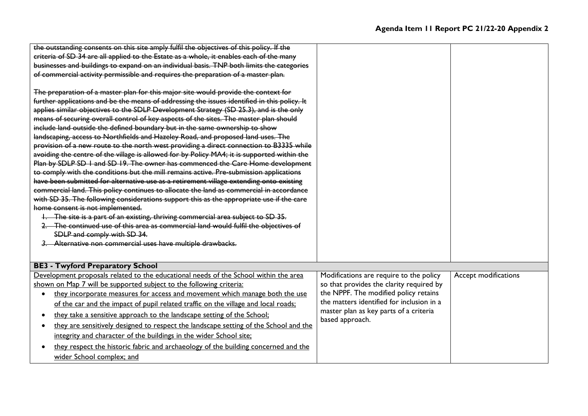| the outstanding consents on this site amply fulfil the objectives of this policy. If the     |                                           |                      |
|----------------------------------------------------------------------------------------------|-------------------------------------------|----------------------|
| criteria of SD 34 are all applied to the Estate as a whole, it enables each of the many      |                                           |                      |
| businesses and buildings to expand on an individual basis. TNP both limits the categories    |                                           |                      |
| of commercial activity permissible and requires the preparation of a master plan.            |                                           |                      |
|                                                                                              |                                           |                      |
| The preparation of a master plan for this major site would provide the context for           |                                           |                      |
| further applications and be the means of addressing the issues identified in this policy. It |                                           |                      |
| applies similar objectives to the SDLP Development Strategy (SD 25.3), and is the only       |                                           |                      |
| means of securing overall control of key aspects of the sites. The master plan should        |                                           |                      |
| include land outside the defined boundary but in the same ownership to show                  |                                           |                      |
| landscaping, access to Northfields and Hazeley Road, and proposed land uses. The             |                                           |                      |
| provision of a new route to the north west providing a direct connection to B3335 while      |                                           |                      |
| avoiding the centre of the village is allowed for by Policy MA4; it is supported within the  |                                           |                      |
| Plan by SDLP SD I and SD 19. The owner has commenced the Care Home development               |                                           |                      |
| to comply with the conditions but the mill remains active. Pre-submission applications       |                                           |                      |
| have been submitted for alternative use as a retirement village extending onto existing      |                                           |                      |
| commercial land. This policy continues to allocate the land as commercial in accordance      |                                           |                      |
| with SD 35. The following considerations support this as the appropriate use if the care     |                                           |                      |
| home consent is not implemented.                                                             |                                           |                      |
| 1. The site is a part of an existing, thriving commercial area subject to SD 35.             |                                           |                      |
| The continued use of this area as commercial land would fulfil the objectives of             |                                           |                      |
| SDLP and comply with SD 34.                                                                  |                                           |                      |
| 3. Alternative non commercial uses have multiple drawbacks.                                  |                                           |                      |
|                                                                                              |                                           |                      |
| <b>BE3 - Twyford Preparatory School</b>                                                      |                                           |                      |
| Development proposals related to the educational needs of the School within the area         | Modifications are require to the policy   | Accept modifications |
| shown on Map 7 will be supported subject to the following criteria:                          | so that provides the clarity required by  |                      |
| they incorporate measures for access and movement which manage both the use<br>$\bullet$     | the NPPF. The modified policy retains     |                      |
| of the car and the impact of pupil related traffic on the village and local roads;           | the matters identified for inclusion in a |                      |
| they take a sensitive approach to the landscape setting of the School:                       | master plan as key parts of a criteria    |                      |
| they are sensitively designed to respect the landscape setting of the School and the         | based approach.                           |                      |
| integrity and character of the buildings in the wider School site;                           |                                           |                      |
| they respect the historic fabric and archaeology of the building concerned and the           |                                           |                      |
| wider School complex; and                                                                    |                                           |                      |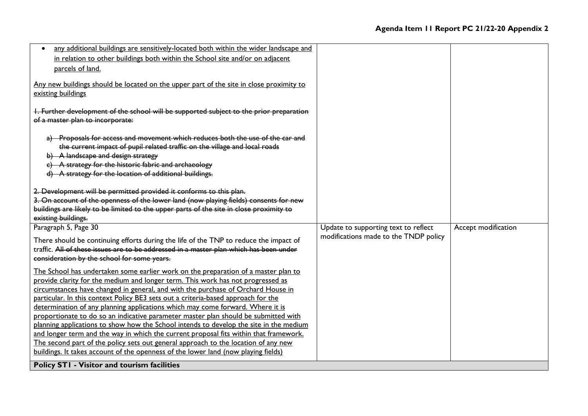| any additional buildings are sensitively-located both within the wider landscape and                                                     |                                       |                     |
|------------------------------------------------------------------------------------------------------------------------------------------|---------------------------------------|---------------------|
| in relation to other buildings both within the School site and/or on adjacent                                                            |                                       |                     |
| parcels of land.                                                                                                                         |                                       |                     |
|                                                                                                                                          |                                       |                     |
| Any new buildings should be located on the upper part of the site in close proximity to                                                  |                                       |                     |
| existing buildings                                                                                                                       |                                       |                     |
|                                                                                                                                          |                                       |                     |
| I. Further development of the school will be supported subject to the prior preparation                                                  |                                       |                     |
| of a master plan to incorporate:                                                                                                         |                                       |                     |
| a) Proposals for access and movement which reduces both the use of the car and                                                           |                                       |                     |
| the current impact of pupil related traffic on the village and local roads                                                               |                                       |                     |
| b) A landscape and design strategy                                                                                                       |                                       |                     |
| c) A strategy for the historic fabric and archaeology                                                                                    |                                       |                     |
| d) A strategy for the location of additional buildings.                                                                                  |                                       |                     |
|                                                                                                                                          |                                       |                     |
| 2. Development will be permitted provided it conforms to this plan.                                                                      |                                       |                     |
| 3. On account of the openness of the lower land (now playing fields) consents for new                                                    |                                       |                     |
|                                                                                                                                          |                                       |                     |
|                                                                                                                                          |                                       |                     |
| buildings are likely to be limited to the upper parts of the site in close proximity to                                                  |                                       |                     |
| existing buildings.<br>Paragraph 5, Page 30                                                                                              | Update to supporting text to reflect  | Accept modification |
|                                                                                                                                          | modifications made to the TNDP policy |                     |
| There should be continuing efforts during the life of the TNP to reduce the impact of                                                    |                                       |                     |
| traffic. All of these issues are to be addressed in a master plan which has been under                                                   |                                       |                     |
| consideration by the school for some years.                                                                                              |                                       |                     |
| The School has undertaken some earlier work on the preparation of a master plan to                                                       |                                       |                     |
| provide clarity for the medium and longer term. This work has not progressed as                                                          |                                       |                     |
| circumstances have changed in general, and with the purchase of Orchard House in                                                         |                                       |                     |
| particular. In this context Policy BE3 sets out a criteria-based approach for the                                                        |                                       |                     |
| determination of any planning applications which may come forward. Where it is                                                           |                                       |                     |
| proportionate to do so an indicative parameter master plan should be submitted with                                                      |                                       |                     |
| planning applications to show how the School intends to develop the site in the medium                                                   |                                       |                     |
| and longer term and the way in which the current proposal fits within that framework.                                                    |                                       |                     |
| The second part of the policy sets out general approach to the location of any new                                                       |                                       |                     |
| buildings. It takes account of the openness of the lower land (now playing fields)<br><b>Policy STI - Visitor and tourism facilities</b> |                                       |                     |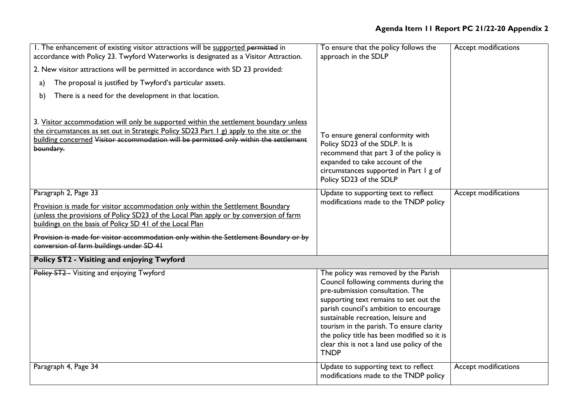| I. The enhancement of existing visitor attractions will be supported permitted in<br>accordance with Policy 23. Twyford Waterworks is designated as a Visitor Attraction.                                                                                                                                                                                                                          | To ensure that the policy follows the<br>approach in the SDLP                                                                                                                                                                                                                                                                                                                                        | Accept modifications |
|----------------------------------------------------------------------------------------------------------------------------------------------------------------------------------------------------------------------------------------------------------------------------------------------------------------------------------------------------------------------------------------------------|------------------------------------------------------------------------------------------------------------------------------------------------------------------------------------------------------------------------------------------------------------------------------------------------------------------------------------------------------------------------------------------------------|----------------------|
| 2. New visitor attractions will be permitted in accordance with SD 23 provided:                                                                                                                                                                                                                                                                                                                    |                                                                                                                                                                                                                                                                                                                                                                                                      |                      |
| The proposal is justified by Twyford's particular assets.<br>a)                                                                                                                                                                                                                                                                                                                                    |                                                                                                                                                                                                                                                                                                                                                                                                      |                      |
| There is a need for the development in that location.<br>b)                                                                                                                                                                                                                                                                                                                                        |                                                                                                                                                                                                                                                                                                                                                                                                      |                      |
| 3. Visitor accommodation will only be supported within the settlement boundary unless<br>the circumstances as set out in Strategic Policy SD23 Part 1 g) apply to the site or the<br>building concerned Visitor accommodation will be permitted only within the settlement<br>boundary.                                                                                                            | To ensure general conformity with<br>Policy SD23 of the SDLP. It is<br>recommend that part 3 of the policy is<br>expanded to take account of the<br>circumstances supported in Part 1 g of<br>Policy SD23 of the SDLP                                                                                                                                                                                |                      |
| Paragraph 2, Page 33<br>Provision is made for visitor accommodation only within the Settlement Boundary<br>(unless the provisions of Policy SD23 of the Local Plan apply or by conversion of farm<br>buildings on the basis of Policy SD 41 of the Local Plan<br>Provision is made for visitor accommodation only within the Settlement Boundary or by<br>conversion of farm buildings under SD 41 | Update to supporting text to reflect<br>modifications made to the TNDP policy                                                                                                                                                                                                                                                                                                                        | Accept modifications |
| Policy ST2 - Visiting and enjoying Twyford                                                                                                                                                                                                                                                                                                                                                         |                                                                                                                                                                                                                                                                                                                                                                                                      |                      |
| Policy ST2 - Visiting and enjoying Twyford                                                                                                                                                                                                                                                                                                                                                         | The policy was removed by the Parish<br>Council following comments during the<br>pre-submission consultation. The<br>supporting text remains to set out the<br>parish council's ambition to encourage<br>sustainable recreation, leisure and<br>tourism in the parish. To ensure clarity<br>the policy title has been modified so it is<br>clear this is not a land use policy of the<br><b>TNDP</b> |                      |
| Paragraph 4, Page 34                                                                                                                                                                                                                                                                                                                                                                               | Update to supporting text to reflect<br>modifications made to the TNDP policy                                                                                                                                                                                                                                                                                                                        | Accept modifications |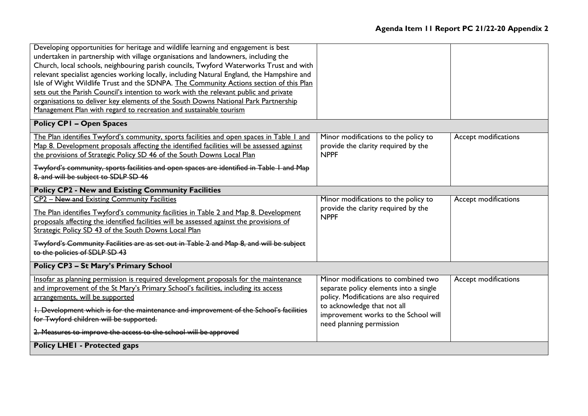| Developing opportunities for heritage and wildlife learning and engagement is best<br>undertaken in partnership with village organisations and landowners, including the<br>Church, local schools, neighbouring parish councils, Twyford Waterworks Trust and with<br>relevant specialist agencies working locally, including Natural England, the Hampshire and<br>Isle of Wight Wildlife Trust and the SDNPA. The Community Actions section of this Plan<br>sets out the Parish Council's intention to work with the relevant public and private |                                                                                                                                                         |                      |
|----------------------------------------------------------------------------------------------------------------------------------------------------------------------------------------------------------------------------------------------------------------------------------------------------------------------------------------------------------------------------------------------------------------------------------------------------------------------------------------------------------------------------------------------------|---------------------------------------------------------------------------------------------------------------------------------------------------------|----------------------|
| organisations to deliver key elements of the South Downs National Park Partnership<br>Management Plan with regard to recreation and sustainable tourism                                                                                                                                                                                                                                                                                                                                                                                            |                                                                                                                                                         |                      |
| <b>Policy CPI - Open Spaces</b>                                                                                                                                                                                                                                                                                                                                                                                                                                                                                                                    |                                                                                                                                                         |                      |
| The Plan identifies Twyford's community, sports facilities and open spaces in Table 1 and<br>Map 8. Development proposals affecting the identified facilities will be assessed against<br>the provisions of Strategic Policy SD 46 of the South Downs Local Plan                                                                                                                                                                                                                                                                                   | Minor modifications to the policy to<br>provide the clarity required by the<br><b>NPPF</b>                                                              | Accept modifications |
| Twyford's community, sports facilities and open spaces are identified in Table I and Map<br>8, and will be subject to SDLP SD 46                                                                                                                                                                                                                                                                                                                                                                                                                   |                                                                                                                                                         |                      |
| <b>Policy CP2 - New and Existing Community Facilities</b>                                                                                                                                                                                                                                                                                                                                                                                                                                                                                          |                                                                                                                                                         |                      |
| CP2 - New and Existing Community Facilities<br>The Plan identifies Twyford's community facilities in Table 2 and Map 8. Development<br>proposals affecting the identified facilities will be assessed against the provisions of<br>Strategic Policy SD 43 of the South Downs Local Plan                                                                                                                                                                                                                                                            | Minor modifications to the policy to<br>provide the clarity required by the<br><b>NPPF</b>                                                              | Accept modifications |
| Twyford's Community Facilities are as set out in Table 2 and Map 8, and will be subject<br>to the policies of SDLP SD 43                                                                                                                                                                                                                                                                                                                                                                                                                           |                                                                                                                                                         |                      |
| <b>Policy CP3 - St Mary's Primary School</b>                                                                                                                                                                                                                                                                                                                                                                                                                                                                                                       |                                                                                                                                                         |                      |
| Insofar as planning permission is required development proposals for the maintenance<br>and improvement of the St Mary's Primary School's facilities, including its access<br>arrangements, will be supported<br>1. Development which is for the maintenance and improvement of the School's facilities                                                                                                                                                                                                                                            | Minor modifications to combined two<br>separate policy elements into a single<br>policy. Modifications are also required<br>to acknowledge that not all | Accept modifications |
| for Twyford children will be supported.<br>2. Measures to improve the access to the school will be approved                                                                                                                                                                                                                                                                                                                                                                                                                                        | improvement works to the School will<br>need planning permission                                                                                        |                      |
| <b>Policy LHEI - Protected gaps</b>                                                                                                                                                                                                                                                                                                                                                                                                                                                                                                                |                                                                                                                                                         |                      |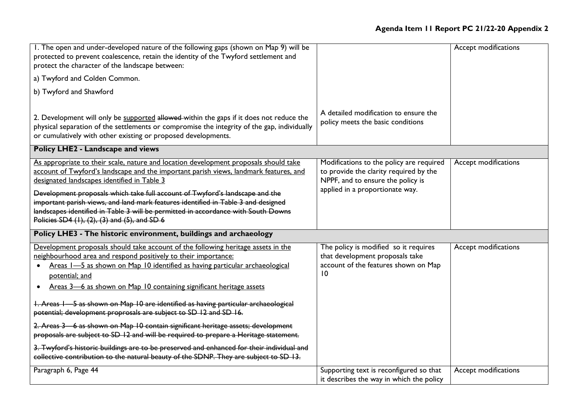| I. The open and under-developed nature of the following gaps (shown on Map 9) will be<br>protected to prevent coalescence, retain the identity of the Twyford settlement and<br>protect the character of the landscape between:                                                                                                                                                                                                                                                                                                                                                                                                                                                                                                                                                             |                                                                                                                                                            | Accept modifications |
|---------------------------------------------------------------------------------------------------------------------------------------------------------------------------------------------------------------------------------------------------------------------------------------------------------------------------------------------------------------------------------------------------------------------------------------------------------------------------------------------------------------------------------------------------------------------------------------------------------------------------------------------------------------------------------------------------------------------------------------------------------------------------------------------|------------------------------------------------------------------------------------------------------------------------------------------------------------|----------------------|
| a) Twyford and Colden Common.                                                                                                                                                                                                                                                                                                                                                                                                                                                                                                                                                                                                                                                                                                                                                               |                                                                                                                                                            |                      |
| b) Twyford and Shawford                                                                                                                                                                                                                                                                                                                                                                                                                                                                                                                                                                                                                                                                                                                                                                     |                                                                                                                                                            |                      |
| 2. Development will only be supported allowed-within the gaps if it does not reduce the<br>physical separation of the settlements or compromise the integrity of the gap, individually<br>or cumulatively with other existing or proposed developments.                                                                                                                                                                                                                                                                                                                                                                                                                                                                                                                                     | A detailed modification to ensure the<br>policy meets the basic conditions                                                                                 |                      |
| Policy LHE2 - Landscape and views                                                                                                                                                                                                                                                                                                                                                                                                                                                                                                                                                                                                                                                                                                                                                           |                                                                                                                                                            |                      |
| As appropriate to their scale, nature and location development proposals should take<br>account of Twyford's landscape and the important parish views, landmark features, and<br>designated landscapes identified in Table 3<br>Development proposals which take full account of Twyford's landscape and the<br>important parish views, and land mark features identified in Table 3 and designed<br>landscapes identified in Table 3 will be permitted in accordance with South Downs<br>Policies SD4 (1), (2), (3) and (5), and SD 6                                                                                                                                                                                                                                                      | Modifications to the policy are required<br>to provide the clarity required by the<br>NPPF, and to ensure the policy is<br>applied in a proportionate way. | Accept modifications |
| Policy LHE3 - The historic environment, buildings and archaeology                                                                                                                                                                                                                                                                                                                                                                                                                                                                                                                                                                                                                                                                                                                           |                                                                                                                                                            |                      |
| Development proposals should take account of the following heritage assets in the<br>neighbourhood area and respond positively to their importance:<br>Areas I-5 as shown on Map 10 identified as having particular archaeological<br>$\bullet$<br>potential; and<br>Areas 3-6 as shown on Map 10 containing significant heritage assets<br>$\bullet$<br>1. Areas 1 - 5 as shown on Map 10 are identified as having particular archaeological<br>potential; development proprosals are subject to SD 12 and SD 16.<br>2. Areas 3 6 as shown on Map 10 contain significant heritage assets; development<br>proposals are subject to SD 12 and will be required to prepare a Heritage statement.<br>3. Twyford's historic buildings are to be preserved and enhanced for their individual and | The policy is modified so it requires<br>that development proposals take<br>account of the features shown on Map<br>10                                     | Accept modifications |
| collective contribution to the natural beauty of the SDNP. They are subject to SD 13.<br>Paragraph 6, Page 44                                                                                                                                                                                                                                                                                                                                                                                                                                                                                                                                                                                                                                                                               | Supporting text is reconfigured so that                                                                                                                    | Accept modifications |
|                                                                                                                                                                                                                                                                                                                                                                                                                                                                                                                                                                                                                                                                                                                                                                                             | it describes the way in which the policy                                                                                                                   |                      |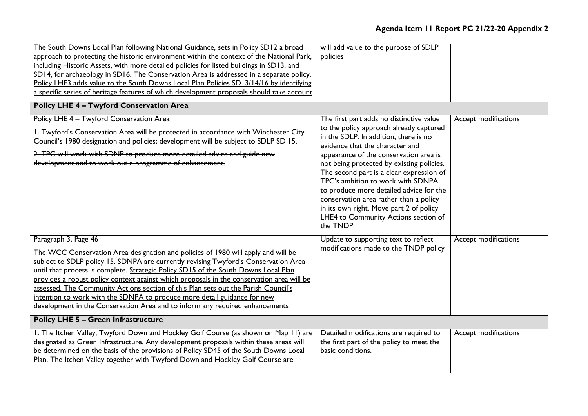| The South Downs Local Plan following National Guidance, sets in Policy SD12 a broad<br>approach to protecting the historic environment within the context of the National Park,<br>including Historic Assets, with more detailed policies for listed buildings in SD13, and<br>SD14, for archaeology in SD16. The Conservation Area is addressed in a separate policy.<br>Policy LHE3 adds value to the South Downs Local Plan Policies SD13/14/16 by identifying<br>a specific series of heritage features of which development proposals should take account<br><b>Policy LHE 4 - Twyford Conservation Area</b>                                                                    | will add value to the purpose of SDLP<br>policies                                                                                                                                                                                                                                                                                                                                                                                                                                                                           |                      |
|--------------------------------------------------------------------------------------------------------------------------------------------------------------------------------------------------------------------------------------------------------------------------------------------------------------------------------------------------------------------------------------------------------------------------------------------------------------------------------------------------------------------------------------------------------------------------------------------------------------------------------------------------------------------------------------|-----------------------------------------------------------------------------------------------------------------------------------------------------------------------------------------------------------------------------------------------------------------------------------------------------------------------------------------------------------------------------------------------------------------------------------------------------------------------------------------------------------------------------|----------------------|
| Policy LHE 4- Twyford Conservation Area<br>1. Twyford's Conservation Area will be protected in accordance with Winchester City<br>Council's 1980 designation and policies; development will be subject to SDLP SD 15.<br>2. TPC will work with SDNP to produce more detailed advice and guide new<br>development and to work out a programme of enhancement.                                                                                                                                                                                                                                                                                                                         | The first part adds no distinctive value<br>to the policy approach already captured<br>in the SDLP. In addition, there is no<br>evidence that the character and<br>appearance of the conservation area is<br>not being protected by existing policies.<br>The second part is a clear expression of<br>TPC's ambition to work with SDNPA<br>to produce more detailed advice for the<br>conservation area rather than a policy<br>in its own right. Move part 2 of policy<br>LHE4 to Community Actions section of<br>the TNDP | Accept modifications |
| Paragraph 3, Page 46<br>The WCC Conservation Area designation and policies of 1980 will apply and will be<br>subject to SDLP policy 15. SDNPA are currently revising Twyford's Conservation Area<br>until that process is complete. Strategic Policy SD15 of the South Downs Local Plan<br>provides a robust policy context against which proposals in the conservation area will be<br>assessed. The Community Actions section of this Plan sets out the Parish Council's<br>intention to work with the SDNPA to produce more detail guidance for new<br>development in the Conservation Area and to inform any required enhancements<br><b>Policy LHE 5 - Green Infrastructure</b> | Update to supporting text to reflect<br>modifications made to the TNDP policy                                                                                                                                                                                                                                                                                                                                                                                                                                               | Accept modifications |
| I. The Itchen Valley, Twyford Down and Hockley Golf Course (as shown on Map 11) are<br>designated as Green Infrastructure. Any development proposals within these areas will<br>be determined on the basis of the provisions of Policy SD45 of the South Downs Local<br>Plan. The Itchen Valley together with Twyford Down and Hockley Golf Course are                                                                                                                                                                                                                                                                                                                               | Detailed modifications are required to<br>the first part of the policy to meet the<br>basic conditions.                                                                                                                                                                                                                                                                                                                                                                                                                     | Accept modifications |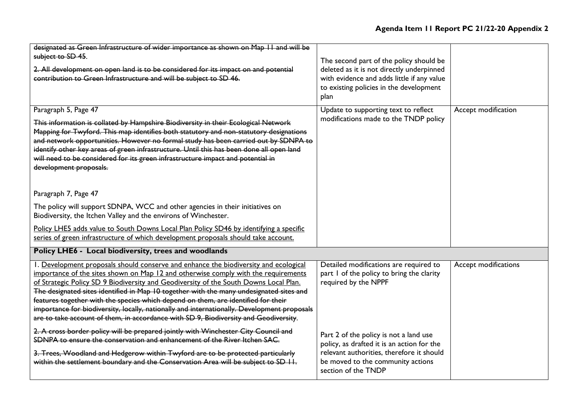| designated as Green Infrastructure of wider importance as shown on Map 11 and will be<br>subject to SD 45.<br>2. All development on open land is to be considered for its impact on and potential<br>contribution to Green Infrastructure and will be subject to SD 46.                                                                                                                                                                                                                                                                                                                                                                    | The second part of the policy should be<br>deleted as it is not directly underpinned<br>with evidence and adds little if any value<br>to existing policies in the development<br>plan         |                             |
|--------------------------------------------------------------------------------------------------------------------------------------------------------------------------------------------------------------------------------------------------------------------------------------------------------------------------------------------------------------------------------------------------------------------------------------------------------------------------------------------------------------------------------------------------------------------------------------------------------------------------------------------|-----------------------------------------------------------------------------------------------------------------------------------------------------------------------------------------------|-----------------------------|
| Paragraph 5, Page 47<br>This information is collated by Hampshire Biodiversity in their Ecological Network<br>Mapping for Twyford. This map identifies both statutory and non-statutory designations<br>and network opportunities. However no formal study has been carried out by SDNPA to<br>identify other key areas of green infrastructure. Until this has been done all open land<br>will need to be considered for its green infrastructure impact and potential in<br>development proposals.                                                                                                                                       | Update to supporting text to reflect<br>modifications made to the TNDP policy                                                                                                                 | Accept modification         |
| Paragraph 7, Page 47<br>The policy will support SDNPA, WCC and other agencies in their initiatives on<br>Biodiversity, the Itchen Valley and the environs of Winchester.<br>Policy LHE5 adds value to South Downs Local Plan Policy SD46 by identifying a specific<br>series of green infrastructure of which development proposals should take account.                                                                                                                                                                                                                                                                                   |                                                                                                                                                                                               |                             |
| Policy LHE6 - Local biodiversity, trees and woodlands                                                                                                                                                                                                                                                                                                                                                                                                                                                                                                                                                                                      |                                                                                                                                                                                               |                             |
| I. Development proposals should conserve and enhance the biodiversity and ecological<br>importance of the sites shown on Map 12 and otherwise comply with the requirements<br>of Strategic Policy SD 9 Biodiversity and Geodiversity of the South Downs Local Plan.<br>The designated sites identified in Map 10 together with the many undesignated sites and<br>features together with the species which depend on them, are identified for their<br>importance for biodiversity, locally, nationally and internationally. Development proposals<br>are to take account of them, in accordance with SD 9, Biodiversity and Geodiversity. | Detailed modifications are required to<br>part I of the policy to bring the clarity<br>required by the NPPF                                                                                   | <b>Accept modifications</b> |
| 2. A cross border policy will be prepared jointly with Winchester City Council and<br>SDNPA to ensure the conservation and enhancement of the River Itchen SAC.<br>3. Trees, Woodland and Hedgerow within Twyford are to be protected particularly<br>within the settlement boundary and the Conservation Area will be subject to SD II.                                                                                                                                                                                                                                                                                                   | Part 2 of the policy is not a land use<br>policy, as drafted it is an action for the<br>relevant authorities, therefore it should<br>be moved to the community actions<br>section of the TNDP |                             |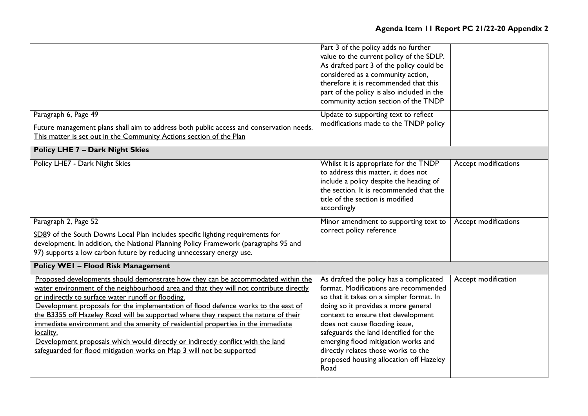## **Agenda Item 11 Report PC 21/22-20 Appendix 2**

|                                                                                                                                                                                                                                                                                                                                                                                                                                                                                                                                                                                                                                                                            | Part 3 of the policy adds no further<br>value to the current policy of the SDLP.<br>As drafted part 3 of the policy could be<br>considered as a community action,<br>therefore it is recommended that this<br>part of the policy is also included in the<br>community action section of the TNDP                                                                                                                       |                      |
|----------------------------------------------------------------------------------------------------------------------------------------------------------------------------------------------------------------------------------------------------------------------------------------------------------------------------------------------------------------------------------------------------------------------------------------------------------------------------------------------------------------------------------------------------------------------------------------------------------------------------------------------------------------------------|------------------------------------------------------------------------------------------------------------------------------------------------------------------------------------------------------------------------------------------------------------------------------------------------------------------------------------------------------------------------------------------------------------------------|----------------------|
| Paragraph 6, Page 49<br>Future management plans shall aim to address both public access and conservation needs.<br>This matter is set out in the Community Actions section of the Plan                                                                                                                                                                                                                                                                                                                                                                                                                                                                                     | Update to supporting text to reflect<br>modifications made to the TNDP policy                                                                                                                                                                                                                                                                                                                                          |                      |
| <b>Policy LHE 7 - Dark Night Skies</b>                                                                                                                                                                                                                                                                                                                                                                                                                                                                                                                                                                                                                                     |                                                                                                                                                                                                                                                                                                                                                                                                                        |                      |
| Policy LHE7- Dark Night Skies                                                                                                                                                                                                                                                                                                                                                                                                                                                                                                                                                                                                                                              | Whilst it is appropriate for the TNDP<br>to address this matter, it does not<br>include a policy despite the heading of<br>the section. It is recommended that the<br>title of the section is modified<br>accordingly                                                                                                                                                                                                  | Accept modifications |
| Paragraph 2, Page 52<br>SD89 of the South Downs Local Plan includes specific lighting requirements for<br>development. In addition, the National Planning Policy Framework (paragraphs 95 and<br>97) supports a low carbon future by reducing unnecessary energy use.                                                                                                                                                                                                                                                                                                                                                                                                      | Minor amendment to supporting text to<br>correct policy reference                                                                                                                                                                                                                                                                                                                                                      | Accept modifications |
| <b>Policy WEI - Flood Risk Management</b>                                                                                                                                                                                                                                                                                                                                                                                                                                                                                                                                                                                                                                  |                                                                                                                                                                                                                                                                                                                                                                                                                        |                      |
| Proposed developments should demonstrate how they can be accommodated within the<br>water environment of the neighbourhood area and that they will not contribute directly<br>or indirectly to surface water runoff or flooding.<br>Development proposals for the implementation of flood defence works to the east of<br>the B3355 off Hazeley Road will be supported where they respect the nature of their<br>immediate environment and the amenity of residential properties in the immediate<br>locality.<br>Development proposals which would directly or indirectly conflict with the land<br>safeguarded for flood mitigation works on Map 3 will not be supported | As drafted the policy has a complicated<br>format. Modifications are recommended<br>so that it takes on a simpler format. In<br>doing so it provides a more general<br>context to ensure that development<br>does not cause flooding issue,<br>safeguards the land identified for the<br>emerging flood mitigation works and<br>directly relates those works to the<br>proposed housing allocation off Hazeley<br>Road | Accept modification  |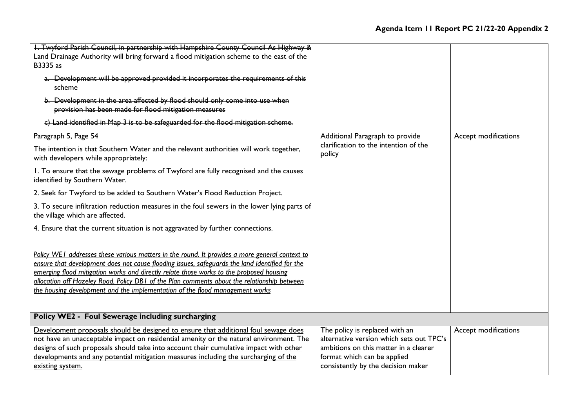| I. Twyford Parish Council, in partnership with Hampshire County Council As Highway &<br>Land Drainage Authority will bring forward a flood mitigation scheme to the east of the<br><b>B3335</b> as<br>a. Development will be approved provided it incorporates the requirements of this<br>scheme                                                                                                                                                                          |                                                                                                                                                                                          |                      |
|----------------------------------------------------------------------------------------------------------------------------------------------------------------------------------------------------------------------------------------------------------------------------------------------------------------------------------------------------------------------------------------------------------------------------------------------------------------------------|------------------------------------------------------------------------------------------------------------------------------------------------------------------------------------------|----------------------|
| b. Development in the area affected by flood should only come into use when<br>provision has been made for flood mitigation measures                                                                                                                                                                                                                                                                                                                                       |                                                                                                                                                                                          |                      |
| c) Land identified in Map 3 is to be safeguarded for the flood mitigation scheme.                                                                                                                                                                                                                                                                                                                                                                                          |                                                                                                                                                                                          |                      |
| Paragraph 5, Page 54                                                                                                                                                                                                                                                                                                                                                                                                                                                       | Additional Paragraph to provide                                                                                                                                                          | Accept modifications |
| The intention is that Southern Water and the relevant authorities will work together,<br>with developers while appropriately:                                                                                                                                                                                                                                                                                                                                              | clarification to the intention of the<br>policy                                                                                                                                          |                      |
| 1. To ensure that the sewage problems of Twyford are fully recognised and the causes<br>identified by Southern Water.                                                                                                                                                                                                                                                                                                                                                      |                                                                                                                                                                                          |                      |
| 2. Seek for Twyford to be added to Southern Water's Flood Reduction Project.                                                                                                                                                                                                                                                                                                                                                                                               |                                                                                                                                                                                          |                      |
| 3. To secure infiltration reduction measures in the foul sewers in the lower lying parts of<br>the village which are affected.                                                                                                                                                                                                                                                                                                                                             |                                                                                                                                                                                          |                      |
| 4. Ensure that the current situation is not aggravated by further connections.                                                                                                                                                                                                                                                                                                                                                                                             |                                                                                                                                                                                          |                      |
| Policy WEI addresses these various matters in the round. It provides a more general context to<br>ensure that development does not cause flooding issues, safeguards the land identified for the<br>emerging flood mitigation works and directly relate those works to the proposed housing<br>allocation off Hazeley Road. Policy DBI of the Plan comments about the relationship between<br>the housing development and the implementation of the flood management works |                                                                                                                                                                                          |                      |
| Policy WE2 - Foul Sewerage including surcharging                                                                                                                                                                                                                                                                                                                                                                                                                           |                                                                                                                                                                                          |                      |
| Development proposals should be designed to ensure that additional foul sewage does<br>not have an unacceptable impact on residential amenity or the natural environment. The<br>designs of such proposals should take into account their cumulative impact with other<br>developments and any potential mitigation measures including the surcharging of the<br>existing system.                                                                                          | The policy is replaced with an<br>alternative version which sets out TPC's<br>ambitions on this matter in a clearer<br>format which can be applied<br>consistently by the decision maker | Accept modifications |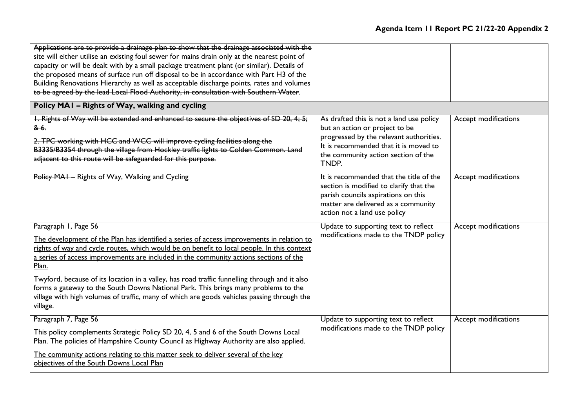| Applications are to provide a drainage plan to show that the drainage associated with the<br>site will either utilise an existing foul sewer for mains drain only at the nearest point of<br>capacity or will be dealt with by a small package treatment plant (or similar). Details of<br>the proposed means of surface run off disposal to be in accordance with Part H3 of the<br>Building Renovations Hierarchy as well as acceptable discharge points, rates and volumes<br>to be agreed by the lead Local Flood Authority, in consultation with Southern Water.                                              |                                                                                                                                                                                                                |                             |
|--------------------------------------------------------------------------------------------------------------------------------------------------------------------------------------------------------------------------------------------------------------------------------------------------------------------------------------------------------------------------------------------------------------------------------------------------------------------------------------------------------------------------------------------------------------------------------------------------------------------|----------------------------------------------------------------------------------------------------------------------------------------------------------------------------------------------------------------|-----------------------------|
| Policy MAI - Rights of Way, walking and cycling                                                                                                                                                                                                                                                                                                                                                                                                                                                                                                                                                                    |                                                                                                                                                                                                                |                             |
| I. Rights of Way will be extended and enhanced to secure the objectives of SD 20, 4; 5;<br><del>&amp; 6.</del><br>2. TPC working with HCC and WCC will improve cycling facilities along the<br>B3335/B3354 through the village from Hockley traffic lights to Colden Common. Land<br>adjacent to this route will be safeguarded for this purpose.                                                                                                                                                                                                                                                                  | As drafted this is not a land use policy<br>but an action or project to be<br>progressed by the relevant authorities.<br>It is recommended that it is moved to<br>the community action section of the<br>TNDP. | Accept modifications        |
| Policy MAI - Rights of Way, Walking and Cycling                                                                                                                                                                                                                                                                                                                                                                                                                                                                                                                                                                    | It is recommended that the title of the<br>section is modified to clarify that the<br>parish councils aspirations on this<br>matter are delivered as a community<br>action not a land use policy               | <b>Accept modifications</b> |
| Paragraph I, Page 56<br>The development of the Plan has identified a series of access improvements in relation to<br>rights of way and cycle routes, which would be on benefit to local people. In this context<br>a series of access improvements are included in the community actions sections of the<br>Plan.<br>Twyford, because of its location in a valley, has road traffic funnelling through and it also<br>forms a gateway to the South Downs National Park. This brings many problems to the<br>village with high volumes of traffic, many of which are goods vehicles passing through the<br>village. | Update to supporting text to reflect<br>modifications made to the TNDP policy                                                                                                                                  | <b>Accept modifications</b> |
| Paragraph 7, Page 56<br>This policy complements Strategic Policy SD 20, 4, 5 and 6 of the South Downs Local<br>Plan. The policies of Hampshire County Council as Highway Authority are also applied.<br>The community actions relating to this matter seek to deliver several of the key<br>objectives of the South Downs Local Plan                                                                                                                                                                                                                                                                               | Update to supporting text to reflect<br>modifications made to the TNDP policy                                                                                                                                  | <b>Accept modifications</b> |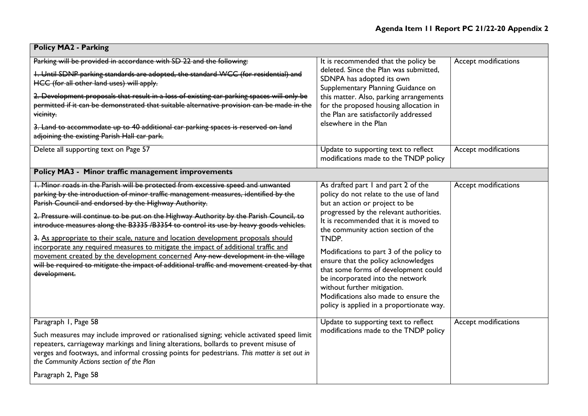┑

| <b>Policy MA2 - Parking</b>                                                                                                                                                                                                                                                                                                                                                                                                                                                                                                                                                                                                                                                                                                                                                                       |                                                                                                                                                                                                                                                                                                                                                                                                                                                                                                                                          |                      |
|---------------------------------------------------------------------------------------------------------------------------------------------------------------------------------------------------------------------------------------------------------------------------------------------------------------------------------------------------------------------------------------------------------------------------------------------------------------------------------------------------------------------------------------------------------------------------------------------------------------------------------------------------------------------------------------------------------------------------------------------------------------------------------------------------|------------------------------------------------------------------------------------------------------------------------------------------------------------------------------------------------------------------------------------------------------------------------------------------------------------------------------------------------------------------------------------------------------------------------------------------------------------------------------------------------------------------------------------------|----------------------|
| Parking will be provided in accordance with SD 22 and the following:<br>I. Until SDNP parking standards are adopted, the standard WCC (for residential) and<br>HCC (for all other land uses) will apply.<br>2. Development proposals that result in a loss of existing car parking spaces will only be<br>permitted if it can be demonstrated that suitable alternative provision can be made in the<br>vicinity.<br>3. Land to accommodate up to 40 additional car parking spaces is reserved on land<br>adjoining the existing Parish Hall car park.                                                                                                                                                                                                                                            | It is recommended that the policy be<br>deleted. Since the Plan was submitted,<br>SDNPA has adopted its own<br>Supplementary Planning Guidance on<br>this matter. Also, parking arrangements<br>for the proposed housing allocation in<br>the Plan are satisfactorily addressed<br>elsewhere in the Plan                                                                                                                                                                                                                                 | Accept modifications |
| Delete all supporting text on Page 57                                                                                                                                                                                                                                                                                                                                                                                                                                                                                                                                                                                                                                                                                                                                                             | Update to supporting text to reflect<br>modifications made to the TNDP policy                                                                                                                                                                                                                                                                                                                                                                                                                                                            | Accept modifications |
| Policy MA3 - Minor traffic management improvements                                                                                                                                                                                                                                                                                                                                                                                                                                                                                                                                                                                                                                                                                                                                                |                                                                                                                                                                                                                                                                                                                                                                                                                                                                                                                                          |                      |
| 1. Minor roads in the Parish will be protected from excessive speed and unwanted<br>parking by the introduction of minor traffic management measures, identified by the<br>Parish Council and endorsed by the Highway Authority.<br>2. Pressure will continue to be put on the Highway Authority by the Parish Council, to<br>introduce measures along the B3335 /B3354 to control its use by heavy goods vehicles.<br>3. As appropriate to their scale, nature and location development proposals should<br>incorporate any required measures to mitigate the impact of additional traffic and<br>movement created by the development concerned Any new development in the village<br>will be required to mitigate the impact of additional traffic and movement created by that<br>development. | As drafted part I and part 2 of the<br>policy do not relate to the use of land<br>but an action or project to be<br>progressed by the relevant authorities.<br>It is recommended that it is moved to<br>the community action section of the<br>TNDP.<br>Modifications to part 3 of the policy to<br>ensure that the policy acknowledges<br>that some forms of development could<br>be incorporated into the network<br>without further mitigation.<br>Modifications also made to ensure the<br>policy is applied in a proportionate way. | Accept modifications |
| Paragraph I, Page 58<br>Such measures may include improved or rationalised signing; vehicle activated speed limit<br>repeaters, carriageway markings and lining alterations, bollards to prevent misuse of<br>verges and footways, and informal crossing points for pedestrians. This matter is set out in<br>the Community Actions section of the Plan<br>Paragraph 2, Page 58                                                                                                                                                                                                                                                                                                                                                                                                                   | Update to supporting text to reflect<br>modifications made to the TNDP policy                                                                                                                                                                                                                                                                                                                                                                                                                                                            | Accept modifications |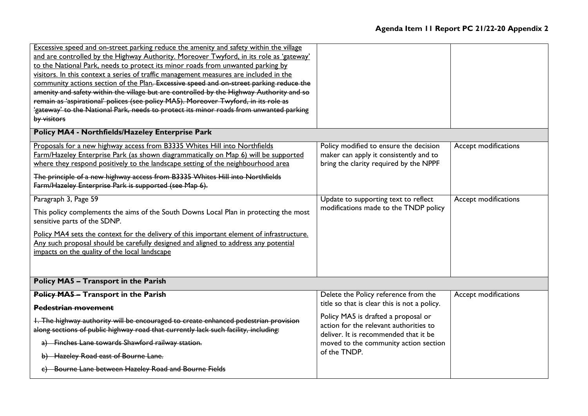| Excessive speed and on-street parking reduce the amenity and safety within the village<br>and are controlled by the Highway Authority. Moreover Twyford, in its role as 'gateway'<br>to the National Park, needs to protect its minor roads from unwanted parking by<br>visitors. In this context a series of traffic management measures are included in the<br>community actions section of the Plan. Excessive speed and on-street parking reduce the<br>amenity and safety within the village but are controlled by the Highway Authority and so<br>remain as 'aspirational' polices (see policy MA5). Moreover Twyford, in its role as<br>'gateway' to the National Park, needs to protect its minor roads from unwanted parking<br>by visitors<br>Policy MA4 - Northfields/Hazeley Enterprise Park |                                                                                                                                                                       |                      |
|----------------------------------------------------------------------------------------------------------------------------------------------------------------------------------------------------------------------------------------------------------------------------------------------------------------------------------------------------------------------------------------------------------------------------------------------------------------------------------------------------------------------------------------------------------------------------------------------------------------------------------------------------------------------------------------------------------------------------------------------------------------------------------------------------------|-----------------------------------------------------------------------------------------------------------------------------------------------------------------------|----------------------|
| Proposals for a new highway access from B3335 Whites Hill into Northfields<br>Farm/Hazeley Enterprise Park (as shown diagrammatically on Map 6) will be supported<br>where they respond positively to the landscape setting of the neighbourhood area<br>The principle of a new highway access from B3335 Whites Hill into Northfields<br>Farm/Hazeley Enterprise Park is supported (see Map 6).                                                                                                                                                                                                                                                                                                                                                                                                         | Policy modified to ensure the decision<br>maker can apply it consistently and to<br>bring the clarity required by the NPPF                                            | Accept modifications |
| Paragraph 3, Page 59<br>This policy complements the aims of the South Downs Local Plan in protecting the most<br>sensitive parts of the SDNP.<br>Policy MA4 sets the context for the delivery of this important element of infrastructure.<br>Any such proposal should be carefully designed and aligned to address any potential<br>impacts on the quality of the local landscape                                                                                                                                                                                                                                                                                                                                                                                                                       | Update to supporting text to reflect<br>modifications made to the TNDP policy                                                                                         | Accept modifications |
| Policy MA5 - Transport in the Parish                                                                                                                                                                                                                                                                                                                                                                                                                                                                                                                                                                                                                                                                                                                                                                     |                                                                                                                                                                       |                      |
| Policy MA5 - Transport in the Parish<br><b>Pedestrian movement</b><br>1. The highway authority will be encouraged to create enhanced pedestrian provision                                                                                                                                                                                                                                                                                                                                                                                                                                                                                                                                                                                                                                                | Delete the Policy reference from the<br>title so that is clear this is not a policy.<br>Policy MA5 is drafted a proposal or<br>action for the relevant authorities to | Accept modifications |
| along sections of public highway road that currently lack such facility, including:<br>a) Finches Lane towards Shawford railway station.<br>b) Hazeley Road east of Bourne Lane.<br>c) Bourne Lane between Hazeley Road and Bourne Fields                                                                                                                                                                                                                                                                                                                                                                                                                                                                                                                                                                | deliver. It is recommended that it be<br>moved to the community action section<br>of the TNDP.                                                                        |                      |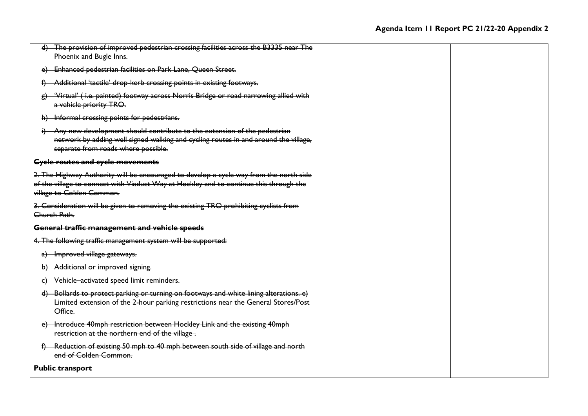| d) The provision of improved pedestrian crossing facilities across the B3335 near The<br>Phoenix and Bugle Inns.                                                                                              |  |
|---------------------------------------------------------------------------------------------------------------------------------------------------------------------------------------------------------------|--|
| e) Enhanced pedestrian facilities on Park Lane, Queen Street.                                                                                                                                                 |  |
| Additional 'tactile' drop-kerb crossing points in existing footways.<br>$\theta$                                                                                                                              |  |
| 'Virtual' (i.e. painted) footway across Norris Bridge or road narrowing allied with<br>$\theta$<br>a vehicle priority TRO.                                                                                    |  |
| h) Informal crossing points for pedestrians.                                                                                                                                                                  |  |
| i) Any new development should contribute to the extension of the pedestrian<br>network by adding well signed walking and cycling routes in and around the village,<br>separate from roads where possible.     |  |
| <b>Cycle routes and cycle movements</b>                                                                                                                                                                       |  |
| 2. The Highway Authority will be encouraged to develop a cycle way from the north side<br>of the village to connect with Viaduct Way at Hockley and to continue this through the<br>village to Colden Common. |  |
| 3. Consideration will be given to removing the existing TRO prohibiting cyclists from<br>Church Path.                                                                                                         |  |
| General traffic management and vehicle speeds                                                                                                                                                                 |  |
| 4. The following traffic management system will be supported:                                                                                                                                                 |  |
| a) Improved village gateways.                                                                                                                                                                                 |  |
| Additional or improved signing.<br>b) –                                                                                                                                                                       |  |
| Vehicle activated speed limit reminders.<br>e)                                                                                                                                                                |  |
| d) Bollards to protect parking or turning on footways and white lining alterations. e)<br>Limited extension of the 2-hour parking restrictions near the General Stores/Post<br>Office.                        |  |
| Introduce 40mph restriction between Hockley Link and the existing 40mph<br>e) –<br>restriction at the northern end of the village.                                                                            |  |
| f) Reduction of existing 50 mph to 40 mph between south side of village and north<br>end of Colden Common.                                                                                                    |  |
| <b>Public transport</b>                                                                                                                                                                                       |  |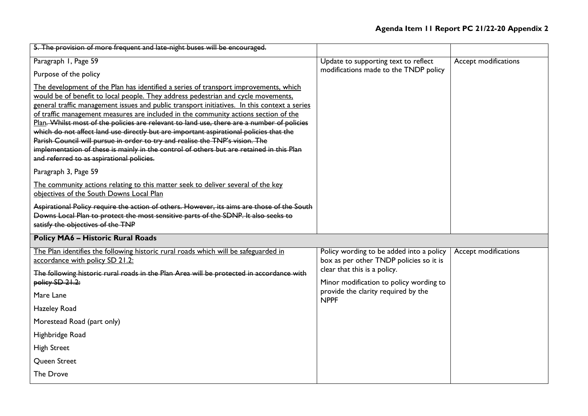| 5. The provision of more frequent and late-night buses will be encouraged.                                                                                                                                                                                                                                                                                                                                                                                                                                                                                                                                                                                                                                                                                                        |                                                                                                                     |                      |
|-----------------------------------------------------------------------------------------------------------------------------------------------------------------------------------------------------------------------------------------------------------------------------------------------------------------------------------------------------------------------------------------------------------------------------------------------------------------------------------------------------------------------------------------------------------------------------------------------------------------------------------------------------------------------------------------------------------------------------------------------------------------------------------|---------------------------------------------------------------------------------------------------------------------|----------------------|
| Paragraph I, Page 59<br>Purpose of the policy                                                                                                                                                                                                                                                                                                                                                                                                                                                                                                                                                                                                                                                                                                                                     | Update to supporting text to reflect<br>modifications made to the TNDP policy                                       | Accept modifications |
| The development of the Plan has identified a series of transport improvements, which<br>would be of benefit to local people. They address pedestrian and cycle movements,<br>general traffic management issues and public transport initiatives. In this context a series<br>of traffic management measures are included in the community actions section of the<br>Plan. Whilst most of the policies are relevant to land use, there are a number of policies<br>which do not affect land use directly but are important aspirational policies that the<br>Parish Council will pursue in order to try and realise the TNP's vision. The<br>implementation of these is mainly in the control of others but are retained in this Plan<br>and referred to as aspirational policies. |                                                                                                                     |                      |
| Paragraph 3, Page 59                                                                                                                                                                                                                                                                                                                                                                                                                                                                                                                                                                                                                                                                                                                                                              |                                                                                                                     |                      |
| The community actions relating to this matter seek to deliver several of the key<br>objectives of the South Downs Local Plan                                                                                                                                                                                                                                                                                                                                                                                                                                                                                                                                                                                                                                                      |                                                                                                                     |                      |
| Aspirational Policy require the action of others. However, its aims are those of the South<br>Downs Local Plan to protect the most sensitive parts of the SDNP. It also seeks to<br>satisfy the objectives of the TNP                                                                                                                                                                                                                                                                                                                                                                                                                                                                                                                                                             |                                                                                                                     |                      |
| <b>Policy MA6 - Historic Rural Roads</b>                                                                                                                                                                                                                                                                                                                                                                                                                                                                                                                                                                                                                                                                                                                                          |                                                                                                                     |                      |
| The Plan identifies the following historic rural roads which will be safeguarded in<br>accordance with policy SD 21.2:<br>The following historic rural roads in the Plan Area will be protected in accordance with                                                                                                                                                                                                                                                                                                                                                                                                                                                                                                                                                                | Policy wording to be added into a policy<br>box as per other TNDP policies so it is<br>clear that this is a policy. | Accept modifications |
| policy SD 21.2:                                                                                                                                                                                                                                                                                                                                                                                                                                                                                                                                                                                                                                                                                                                                                                   | Minor modification to policy wording to<br>provide the clarity required by the                                      |                      |
| Mare Lane                                                                                                                                                                                                                                                                                                                                                                                                                                                                                                                                                                                                                                                                                                                                                                         | <b>NPPF</b>                                                                                                         |                      |
| Hazeley Road                                                                                                                                                                                                                                                                                                                                                                                                                                                                                                                                                                                                                                                                                                                                                                      |                                                                                                                     |                      |
| Morestead Road (part only)                                                                                                                                                                                                                                                                                                                                                                                                                                                                                                                                                                                                                                                                                                                                                        |                                                                                                                     |                      |
| Highbridge Road                                                                                                                                                                                                                                                                                                                                                                                                                                                                                                                                                                                                                                                                                                                                                                   |                                                                                                                     |                      |
| <b>High Street</b>                                                                                                                                                                                                                                                                                                                                                                                                                                                                                                                                                                                                                                                                                                                                                                |                                                                                                                     |                      |
| Queen Street                                                                                                                                                                                                                                                                                                                                                                                                                                                                                                                                                                                                                                                                                                                                                                      |                                                                                                                     |                      |
| The Drove                                                                                                                                                                                                                                                                                                                                                                                                                                                                                                                                                                                                                                                                                                                                                                         |                                                                                                                     |                      |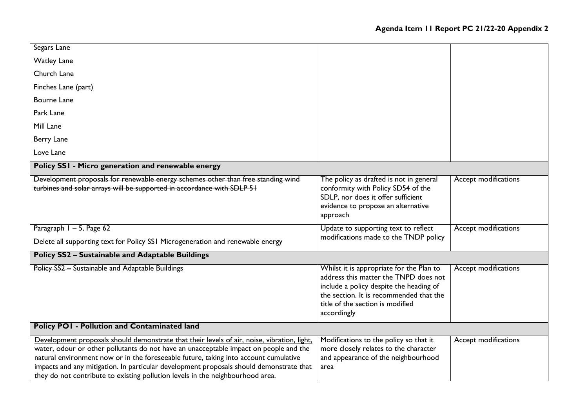| Segars Lane                                                                                                                                                                                                                                                                                                                                                                                                                                               |                                                                                                                                                                                                                            |                      |
|-----------------------------------------------------------------------------------------------------------------------------------------------------------------------------------------------------------------------------------------------------------------------------------------------------------------------------------------------------------------------------------------------------------------------------------------------------------|----------------------------------------------------------------------------------------------------------------------------------------------------------------------------------------------------------------------------|----------------------|
| <b>Watley Lane</b>                                                                                                                                                                                                                                                                                                                                                                                                                                        |                                                                                                                                                                                                                            |                      |
| Church Lane                                                                                                                                                                                                                                                                                                                                                                                                                                               |                                                                                                                                                                                                                            |                      |
| Finches Lane (part)                                                                                                                                                                                                                                                                                                                                                                                                                                       |                                                                                                                                                                                                                            |                      |
| <b>Bourne Lane</b>                                                                                                                                                                                                                                                                                                                                                                                                                                        |                                                                                                                                                                                                                            |                      |
| Park Lane                                                                                                                                                                                                                                                                                                                                                                                                                                                 |                                                                                                                                                                                                                            |                      |
| Mill Lane                                                                                                                                                                                                                                                                                                                                                                                                                                                 |                                                                                                                                                                                                                            |                      |
| Berry Lane                                                                                                                                                                                                                                                                                                                                                                                                                                                |                                                                                                                                                                                                                            |                      |
| Love Lane                                                                                                                                                                                                                                                                                                                                                                                                                                                 |                                                                                                                                                                                                                            |                      |
| Policy SSI - Micro generation and renewable energy                                                                                                                                                                                                                                                                                                                                                                                                        |                                                                                                                                                                                                                            |                      |
| Development proposals for renewable energy schemes other than free standing wind<br>turbines and solar arrays will be supported in accordance with SDLP 51                                                                                                                                                                                                                                                                                                | The policy as drafted is not in general<br>conformity with Policy SD54 of the<br>SDLP, nor does it offer sufficient<br>evidence to propose an alternative<br>approach                                                      | Accept modifications |
| Paragraph 1 - 5, Page 62<br>Delete all supporting text for Policy SSI Microgeneration and renewable energy                                                                                                                                                                                                                                                                                                                                                | Update to supporting text to reflect<br>modifications made to the TNDP policy                                                                                                                                              | Accept modifications |
| <b>Policy SS2 - Sustainable and Adaptable Buildings</b>                                                                                                                                                                                                                                                                                                                                                                                                   |                                                                                                                                                                                                                            |                      |
|                                                                                                                                                                                                                                                                                                                                                                                                                                                           |                                                                                                                                                                                                                            |                      |
| Policy SS2 - Sustainable and Adaptable Buildings                                                                                                                                                                                                                                                                                                                                                                                                          | Whilst it is appropriate for the Plan to<br>address this matter the TNPD does not<br>include a policy despite the heading of<br>the section. It is recommended that the<br>title of the section is modified<br>accordingly | Accept modifications |
| <b>Policy POI - Pollution and Contaminated land</b>                                                                                                                                                                                                                                                                                                                                                                                                       |                                                                                                                                                                                                                            |                      |
| Development proposals should demonstrate that their levels of air, noise, vibration, light,<br>water, odour or other pollutants do not have an unacceptable impact on people and the<br>natural environment now or in the foreseeable future, taking into account cumulative<br>impacts and any mitigation. In particular development proposals should demonstrate that<br>they do not contribute to existing pollution levels in the neighbourhood area. | Modifications to the policy so that it<br>more closely relates to the character<br>and appearance of the neighbourhood<br>area                                                                                             | Accept modifications |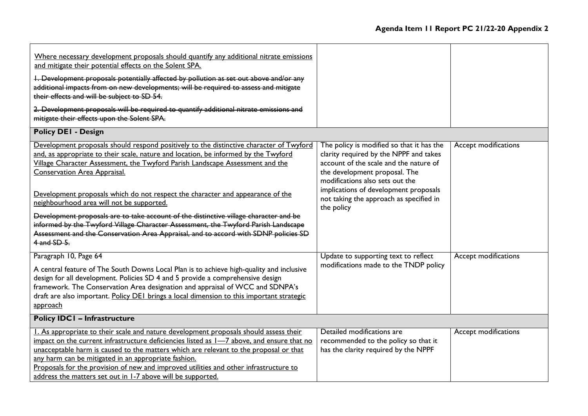| Where necessary development proposals should quantify any additional nitrate emissions<br>and mitigate their potential effects on the Solent SPA.<br>I. Development proposals potentially affected by pollution as set out above and/or any<br>additional impacts from on new developments; will be required to assess and mitigate<br>their effects and will be subject to SD 54.<br>2. Development proposals will be required to quantify additional nitrate emissions and<br>mitigate their effects upon the Solent SPA.<br><b>Policy DEI - Design</b> |                                                                                                                                                      |                      |
|-----------------------------------------------------------------------------------------------------------------------------------------------------------------------------------------------------------------------------------------------------------------------------------------------------------------------------------------------------------------------------------------------------------------------------------------------------------------------------------------------------------------------------------------------------------|------------------------------------------------------------------------------------------------------------------------------------------------------|----------------------|
| Development proposals should respond positively to the distinctive character of Twyford                                                                                                                                                                                                                                                                                                                                                                                                                                                                   | The policy is modified so that it has the                                                                                                            | Accept modifications |
| and, as appropriate to their scale, nature and location, be informed by the Twyford<br>Village Character Assessment, the Twyford Parish Landscape Assessment and the<br><b>Conservation Area Appraisal.</b>                                                                                                                                                                                                                                                                                                                                               | clarity required by the NPPF and takes<br>account of the scale and the nature of<br>the development proposal. The<br>modifications also sets out the |                      |
| Development proposals which do not respect the character and appearance of the<br>neighbourhood area will not be supported.                                                                                                                                                                                                                                                                                                                                                                                                                               | implications of development proposals<br>not taking the approach as specified in<br>the policy                                                       |                      |
| Development proposals are to take account of the distinctive village character and be<br>informed by the Twyford Village Character Assessment, the Twyford Parish Landscape<br>Assessment and the Conservation Area Appraisal, and to accord with SDNP policies SD<br>4 and SD 5.                                                                                                                                                                                                                                                                         |                                                                                                                                                      |                      |
| Paragraph 10, Page 64                                                                                                                                                                                                                                                                                                                                                                                                                                                                                                                                     | Update to supporting text to reflect                                                                                                                 | Accept modifications |
| A central feature of The South Downs Local Plan is to achieve high-quality and inclusive<br>design for all development. Policies SD 4 and 5 provide a comprehensive design<br>framework. The Conservation Area designation and appraisal of WCC and SDNPA's<br>draft are also important. Policy DEI brings a local dimension to this important strategic<br>approach                                                                                                                                                                                      | modifications made to the TNDP policy                                                                                                                |                      |
| <b>Policy IDCI - Infrastructure</b>                                                                                                                                                                                                                                                                                                                                                                                                                                                                                                                       |                                                                                                                                                      |                      |
| 1. As appropriate to their scale and nature development proposals should assess their<br>impact on the current infrastructure deficiencies listed as 1-7 above, and ensure that no<br>unacceptable harm is caused to the matters which are relevant to the proposal or that<br>any harm can be mitigated in an appropriate fashion.<br>Proposals for the provision of new and improved utilities and other infrastructure to<br>address the matters set out in 1-7 above will be supported.                                                               | Detailed modifications are<br>recommended to the policy so that it<br>has the clarity required by the NPPF                                           | Accept modifications |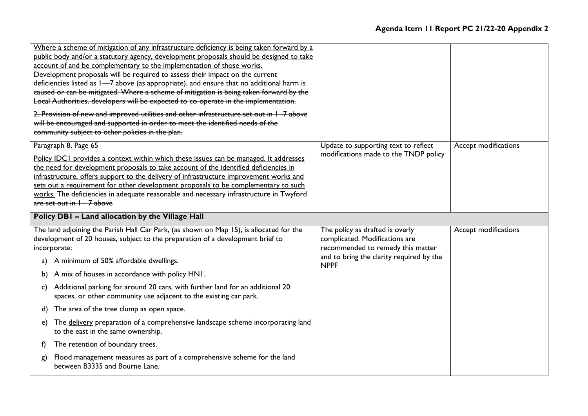|    | Where a scheme of mitigation of any infrastructure deficiency is being taken forward by a<br>public body and/or a statutory agency, development proposals should be designed to take<br>account of and be complementary to the implementation of those works.<br>Development proposals will be required to assess their impact on the current<br>deficiencies listed as 1-7 above (as appropriate), and ensure that no additional harm is<br>caused or can be mitigated. Where a scheme of mitigation is being taken forward by the<br>Local Authorities, developers will be expected to co-operate in the implementation.<br>2. Provision of new and improved utilities and other infrastructure set out in 1-7 above<br>will be encouraged and supported in order to meet the identified needs of the<br>community subject to other policies in the plan. |                                                                                                        |                      |
|----|-------------------------------------------------------------------------------------------------------------------------------------------------------------------------------------------------------------------------------------------------------------------------------------------------------------------------------------------------------------------------------------------------------------------------------------------------------------------------------------------------------------------------------------------------------------------------------------------------------------------------------------------------------------------------------------------------------------------------------------------------------------------------------------------------------------------------------------------------------------|--------------------------------------------------------------------------------------------------------|----------------------|
|    | Paragraph 8, Page 65<br>Policy IDCI provides a context within which these issues can be managed. It addresses<br>the need for development proposals to take account of the identified deficiencies in<br>infrastructure, offers support to the delivery of infrastructure improvement works and<br>sets out a requirement for other development proposals to be complementary to such<br>works. The deficiencies in adequate reasonable and necessary infrastructure in Twyford<br>are set out in $1 - 7$ above                                                                                                                                                                                                                                                                                                                                             | Update to supporting text to reflect<br>modifications made to the TNDP policy                          | Accept modifications |
|    | Policy DBI - Land allocation by the Village Hall                                                                                                                                                                                                                                                                                                                                                                                                                                                                                                                                                                                                                                                                                                                                                                                                            |                                                                                                        |                      |
|    | The land adjoining the Parish Hall Car Park, (as shown on Map 15), is allocated for the<br>development of 20 houses, subject to the preparation of a development brief to<br>incorporate:                                                                                                                                                                                                                                                                                                                                                                                                                                                                                                                                                                                                                                                                   | The policy as drafted is overly<br>complicated. Modifications are<br>recommended to remedy this matter | Accept modifications |
| a) | A minimum of 50% affordable dwellings.                                                                                                                                                                                                                                                                                                                                                                                                                                                                                                                                                                                                                                                                                                                                                                                                                      | and to bring the clarity required by the<br><b>NPPF</b>                                                |                      |
| b) | A mix of houses in accordance with policy HN1.                                                                                                                                                                                                                                                                                                                                                                                                                                                                                                                                                                                                                                                                                                                                                                                                              |                                                                                                        |                      |
| C) | Additional parking for around 20 cars, with further land for an additional 20<br>spaces, or other community use adjacent to the existing car park.                                                                                                                                                                                                                                                                                                                                                                                                                                                                                                                                                                                                                                                                                                          |                                                                                                        |                      |
| d) | The area of the tree clump as open space.                                                                                                                                                                                                                                                                                                                                                                                                                                                                                                                                                                                                                                                                                                                                                                                                                   |                                                                                                        |                      |
| e) | The delivery preparation of a comprehensive landscape scheme incorporating land<br>to the east in the same ownership.                                                                                                                                                                                                                                                                                                                                                                                                                                                                                                                                                                                                                                                                                                                                       |                                                                                                        |                      |
| f) | The retention of boundary trees.                                                                                                                                                                                                                                                                                                                                                                                                                                                                                                                                                                                                                                                                                                                                                                                                                            |                                                                                                        |                      |
| g) |                                                                                                                                                                                                                                                                                                                                                                                                                                                                                                                                                                                                                                                                                                                                                                                                                                                             |                                                                                                        |                      |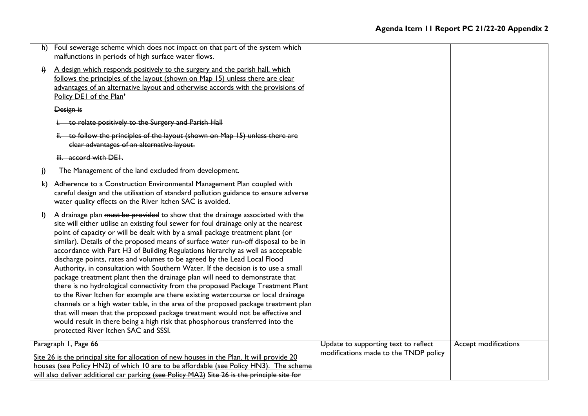| h)                   | Foul sewerage scheme which does not impact on that part of the system which<br>malfunctions in periods of high surface water flows.                                                                                                                                                                                                                                                                                                                                                                                                                                                                                                                                                                                                                                                                                                                                                                                                                                                                                                                                                                                                                        |                                       |                      |
|----------------------|------------------------------------------------------------------------------------------------------------------------------------------------------------------------------------------------------------------------------------------------------------------------------------------------------------------------------------------------------------------------------------------------------------------------------------------------------------------------------------------------------------------------------------------------------------------------------------------------------------------------------------------------------------------------------------------------------------------------------------------------------------------------------------------------------------------------------------------------------------------------------------------------------------------------------------------------------------------------------------------------------------------------------------------------------------------------------------------------------------------------------------------------------------|---------------------------------------|----------------------|
| $\ddot{H}$           | A design which responds positively to the surgery and the parish hall, which<br>follows the principles of the layout (shown on Map 15) unless there are clear<br>advantages of an alternative layout and otherwise accords with the provisions of<br>Policy DEI of the Plan'                                                                                                                                                                                                                                                                                                                                                                                                                                                                                                                                                                                                                                                                                                                                                                                                                                                                               |                                       |                      |
|                      | Design is                                                                                                                                                                                                                                                                                                                                                                                                                                                                                                                                                                                                                                                                                                                                                                                                                                                                                                                                                                                                                                                                                                                                                  |                                       |                      |
|                      | i. to relate positively to the Surgery and Parish Hall                                                                                                                                                                                                                                                                                                                                                                                                                                                                                                                                                                                                                                                                                                                                                                                                                                                                                                                                                                                                                                                                                                     |                                       |                      |
|                      | ii. to follow the principles of the layout (shown on Map 15) unless there are<br>clear advantages of an alternative layout.                                                                                                                                                                                                                                                                                                                                                                                                                                                                                                                                                                                                                                                                                                                                                                                                                                                                                                                                                                                                                                |                                       |                      |
|                      | iii. accord with DEI.                                                                                                                                                                                                                                                                                                                                                                                                                                                                                                                                                                                                                                                                                                                                                                                                                                                                                                                                                                                                                                                                                                                                      |                                       |                      |
| j)                   | The Management of the land excluded from development.                                                                                                                                                                                                                                                                                                                                                                                                                                                                                                                                                                                                                                                                                                                                                                                                                                                                                                                                                                                                                                                                                                      |                                       |                      |
| k)                   | Adherence to a Construction Environmental Management Plan coupled with<br>careful design and the utilisation of standard pollution guidance to ensure adverse<br>water quality effects on the River Itchen SAC is avoided.                                                                                                                                                                                                                                                                                                                                                                                                                                                                                                                                                                                                                                                                                                                                                                                                                                                                                                                                 |                                       |                      |
| $\mathbf{D}$         | A drainage plan must be provided to show that the drainage associated with the<br>site will either utilise an existing foul sewer for foul drainage only at the nearest<br>point of capacity or will be dealt with by a small package treatment plant (or<br>similar). Details of the proposed means of surface water run-off disposal to be in<br>accordance with Part H3 of Building Regulations hierarchy as well as acceptable<br>discharge points, rates and volumes to be agreed by the Lead Local Flood<br>Authority, in consultation with Southern Water. If the decision is to use a small<br>package treatment plant then the drainage plan will need to demonstrate that<br>there is no hydrological connectivity from the proposed Package Treatment Plant<br>to the River Itchen for example are there existing watercourse or local drainage<br>channels or a high water table, in the area of the proposed package treatment plan<br>that will mean that the proposed package treatment would not be effective and<br>would result in there being a high risk that phosphorous transferred into the<br>protected River Itchen SAC and SSSI. |                                       |                      |
| Paragraph I, Page 66 |                                                                                                                                                                                                                                                                                                                                                                                                                                                                                                                                                                                                                                                                                                                                                                                                                                                                                                                                                                                                                                                                                                                                                            | Update to supporting text to reflect  | Accept modifications |
|                      | Site 26 is the principal site for allocation of new houses in the Plan. It will provide 20<br>houses (see Policy HN2) of which 10 are to be affordable (see Policy HN3). The scheme<br>will also deliver additional car parking (see Policy MA2) Site 26 is the principle site for                                                                                                                                                                                                                                                                                                                                                                                                                                                                                                                                                                                                                                                                                                                                                                                                                                                                         | modifications made to the TNDP policy |                      |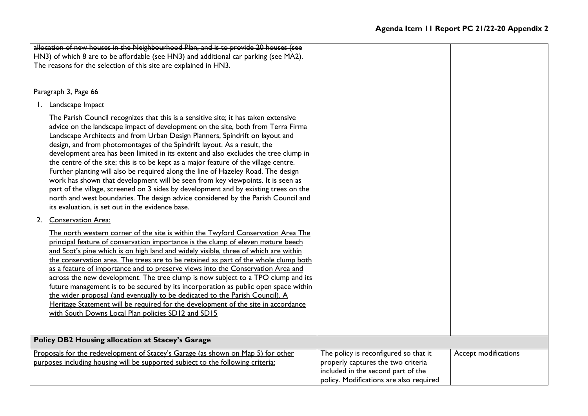| allocation of new houses in the Neighbourhood Plan, and is to provide 20 houses (see                                                                                                                                                                                                                                                                                                                                                                                                                                                                                                                                                                                                                                                                                                                                                                                                                                        |                                                                          |                      |  |  |  |
|-----------------------------------------------------------------------------------------------------------------------------------------------------------------------------------------------------------------------------------------------------------------------------------------------------------------------------------------------------------------------------------------------------------------------------------------------------------------------------------------------------------------------------------------------------------------------------------------------------------------------------------------------------------------------------------------------------------------------------------------------------------------------------------------------------------------------------------------------------------------------------------------------------------------------------|--------------------------------------------------------------------------|----------------------|--|--|--|
| HN3) of which 8 are to be affordable (see HN3) and additional car parking (see MA2).                                                                                                                                                                                                                                                                                                                                                                                                                                                                                                                                                                                                                                                                                                                                                                                                                                        |                                                                          |                      |  |  |  |
| The reasons for the selection of this site are explained in HN3.                                                                                                                                                                                                                                                                                                                                                                                                                                                                                                                                                                                                                                                                                                                                                                                                                                                            |                                                                          |                      |  |  |  |
|                                                                                                                                                                                                                                                                                                                                                                                                                                                                                                                                                                                                                                                                                                                                                                                                                                                                                                                             |                                                                          |                      |  |  |  |
|                                                                                                                                                                                                                                                                                                                                                                                                                                                                                                                                                                                                                                                                                                                                                                                                                                                                                                                             |                                                                          |                      |  |  |  |
| Paragraph 3, Page 66                                                                                                                                                                                                                                                                                                                                                                                                                                                                                                                                                                                                                                                                                                                                                                                                                                                                                                        |                                                                          |                      |  |  |  |
| 1. Landscape Impact                                                                                                                                                                                                                                                                                                                                                                                                                                                                                                                                                                                                                                                                                                                                                                                                                                                                                                         |                                                                          |                      |  |  |  |
| The Parish Council recognizes that this is a sensitive site; it has taken extensive<br>advice on the landscape impact of development on the site, both from Terra Firma<br>Landscape Architects and from Urban Design Planners, Spindrift on layout and<br>design, and from photomontages of the Spindrift layout. As a result, the<br>development area has been limited in its extent and also excludes the tree clump in<br>the centre of the site; this is to be kept as a major feature of the village centre.<br>Further planting will also be required along the line of Hazeley Road. The design<br>work has shown that development will be seen from key viewpoints. It is seen as<br>part of the village, screened on 3 sides by development and by existing trees on the<br>north and west boundaries. The design advice considered by the Parish Council and<br>its evaluation, is set out in the evidence base. |                                                                          |                      |  |  |  |
| 2. Conservation Area:                                                                                                                                                                                                                                                                                                                                                                                                                                                                                                                                                                                                                                                                                                                                                                                                                                                                                                       |                                                                          |                      |  |  |  |
| The north western corner of the site is within the Twyford Conservation Area The<br>principal feature of conservation importance is the clump of eleven mature beech<br>and Scot's pine which is on high land and widely visible, three of which are within<br>the conservation area. The trees are to be retained as part of the whole clump both<br>as a feature of importance and to preserve views into the Conservation Area and<br>across the new development. The tree clump is now subject to a TPO clump and its<br>future management is to be secured by its incorporation as public open space within<br>the wider proposal (and eventually to be dedicated to the Parish Council). A<br>Heritage Statement will be required for the development of the site in accordance<br>with South Downs Local Plan policies SD12 and SD15                                                                                 |                                                                          |                      |  |  |  |
| <b>Policy DB2 Housing allocation at Stacey's Garage</b>                                                                                                                                                                                                                                                                                                                                                                                                                                                                                                                                                                                                                                                                                                                                                                                                                                                                     |                                                                          |                      |  |  |  |
| Proposals for the redevelopment of Stacey's Garage (as shown on Map 5) for other                                                                                                                                                                                                                                                                                                                                                                                                                                                                                                                                                                                                                                                                                                                                                                                                                                            | The policy is reconfigured so that it                                    | Accept modifications |  |  |  |
| purposes including housing will be supported subject to the following criteria:                                                                                                                                                                                                                                                                                                                                                                                                                                                                                                                                                                                                                                                                                                                                                                                                                                             | properly captures the two criteria<br>included in the second part of the |                      |  |  |  |
|                                                                                                                                                                                                                                                                                                                                                                                                                                                                                                                                                                                                                                                                                                                                                                                                                                                                                                                             | policy. Modifications are also required                                  |                      |  |  |  |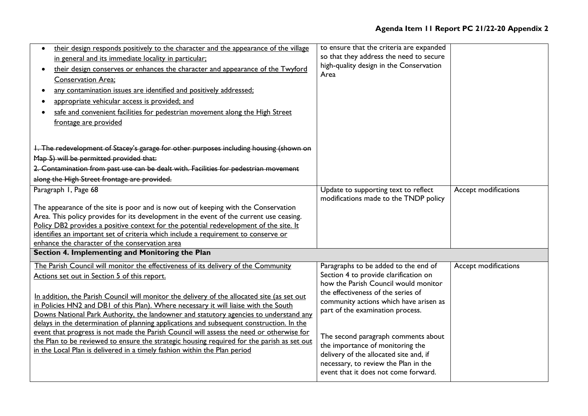# **Agenda Item 11 Report PC 21/22-20 Appendix 2**

| their design responds positively to the character and the appearance of the village<br>in general and its immediate locality in particular;<br>their design conserves or enhances the character and appearance of the Twyford<br><b>Conservation Area;</b><br>any contamination issues are identified and positively addressed;<br>appropriate vehicular access is provided; and<br>safe and convenient facilities for pedestrian movement along the High Street<br>frontage are provided | to ensure that the criteria are expanded<br>so that they address the need to secure<br>high-quality design in the Conservation<br>Area |                      |
|-------------------------------------------------------------------------------------------------------------------------------------------------------------------------------------------------------------------------------------------------------------------------------------------------------------------------------------------------------------------------------------------------------------------------------------------------------------------------------------------|----------------------------------------------------------------------------------------------------------------------------------------|----------------------|
| 1. The redevelopment of Stacey's garage for other purposes including housing (shown on                                                                                                                                                                                                                                                                                                                                                                                                    |                                                                                                                                        |                      |
| Map 5) will be permitted provided that:                                                                                                                                                                                                                                                                                                                                                                                                                                                   |                                                                                                                                        |                      |
| 2. Contamination from past use can be dealt with. Facilities for pedestrian movement                                                                                                                                                                                                                                                                                                                                                                                                      |                                                                                                                                        |                      |
| along the High Street frontage are provided.                                                                                                                                                                                                                                                                                                                                                                                                                                              |                                                                                                                                        |                      |
| Paragraph I, Page 68                                                                                                                                                                                                                                                                                                                                                                                                                                                                      | Update to supporting text to reflect<br>modifications made to the TNDP policy                                                          | Accept modifications |
| The appearance of the site is poor and is now out of keeping with the Conservation                                                                                                                                                                                                                                                                                                                                                                                                        |                                                                                                                                        |                      |
| Area. This policy provides for its development in the event of the current use ceasing.                                                                                                                                                                                                                                                                                                                                                                                                   |                                                                                                                                        |                      |
| Policy DB2 provides a positive context for the potential redevelopment of the site. It                                                                                                                                                                                                                                                                                                                                                                                                    |                                                                                                                                        |                      |
| identifies an important set of criteria which include a requirement to conserve or                                                                                                                                                                                                                                                                                                                                                                                                        |                                                                                                                                        |                      |
| enhance the character of the conservation area                                                                                                                                                                                                                                                                                                                                                                                                                                            |                                                                                                                                        |                      |
| Section 4. Implementing and Monitoring the Plan                                                                                                                                                                                                                                                                                                                                                                                                                                           |                                                                                                                                        |                      |
| The Parish Council will monitor the effectiveness of its delivery of the Community                                                                                                                                                                                                                                                                                                                                                                                                        | Paragraphs to be added to the end of                                                                                                   | Accept modifications |
| Actions set out in Section 5 of this report.                                                                                                                                                                                                                                                                                                                                                                                                                                              | Section 4 to provide clarification on                                                                                                  |                      |
|                                                                                                                                                                                                                                                                                                                                                                                                                                                                                           | how the Parish Council would monitor                                                                                                   |                      |
| In addition, the Parish Council will monitor the delivery of the allocated site (as set out                                                                                                                                                                                                                                                                                                                                                                                               | the effectiveness of the series of                                                                                                     |                      |
| in Policies HN2 and DB1 of this Plan). Where necessary it will liaise with the South                                                                                                                                                                                                                                                                                                                                                                                                      | community actions which have arisen as                                                                                                 |                      |
| Downs National Park Authority, the landowner and statutory agencies to understand any                                                                                                                                                                                                                                                                                                                                                                                                     | part of the examination process.                                                                                                       |                      |
| delays in the determination of planning applications and subsequent construction. In the                                                                                                                                                                                                                                                                                                                                                                                                  |                                                                                                                                        |                      |
| event that progress is not made the Parish Council will assess the need or otherwise for                                                                                                                                                                                                                                                                                                                                                                                                  | The second paragraph comments about                                                                                                    |                      |
| the Plan to be reviewed to ensure the strategic housing required for the parish as set out                                                                                                                                                                                                                                                                                                                                                                                                | the importance of monitoring the                                                                                                       |                      |
| in the Local Plan is delivered in a timely fashion within the Plan period                                                                                                                                                                                                                                                                                                                                                                                                                 | delivery of the allocated site and, if                                                                                                 |                      |
|                                                                                                                                                                                                                                                                                                                                                                                                                                                                                           | necessary, to review the Plan in the                                                                                                   |                      |
|                                                                                                                                                                                                                                                                                                                                                                                                                                                                                           | event that it does not come forward.                                                                                                   |                      |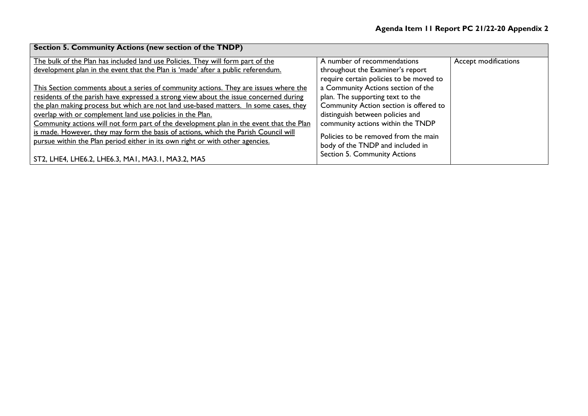| <b>Section 5. Community Actions (new section of the TNDP)</b>                           |                                         |                      |  |  |  |
|-----------------------------------------------------------------------------------------|-----------------------------------------|----------------------|--|--|--|
| The bulk of the Plan has included land use Policies. They will form part of the         | A number of recommendations             | Accept modifications |  |  |  |
| development plan in the event that the Plan is 'made' after a public referendum.        | throughout the Examiner's report        |                      |  |  |  |
|                                                                                         | require certain policies to be moved to |                      |  |  |  |
| This Section comments about a series of community actions. They are issues where the    | a Community Actions section of the      |                      |  |  |  |
| residents of the parish have expressed a strong view about the issue concerned during   | plan. The supporting text to the        |                      |  |  |  |
| the plan making process but which are not land use-based matters. In some cases, they   | Community Action section is offered to  |                      |  |  |  |
| overlap with or complement land use policies in the Plan.                               | distinguish between policies and        |                      |  |  |  |
| Community actions will not form part of the development plan in the event that the Plan | community actions within the TNDP       |                      |  |  |  |
| is made. However, they may form the basis of actions, which the Parish Council will     | Policies to be removed from the main    |                      |  |  |  |
| pursue within the Plan period either in its own right or with other agencies.           | body of the TNDP and included in        |                      |  |  |  |
| ST2, LHE4, LHE6.2, LHE6.3, MA1, MA3.1, MA3.2, MA5                                       | <b>Section 5. Community Actions</b>     |                      |  |  |  |